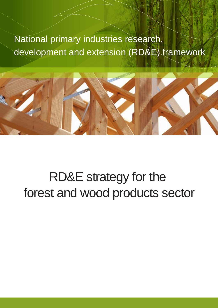# National primary industries research, development and extension (RD&E) framework



# RD&E strategy for the forest and wood products sector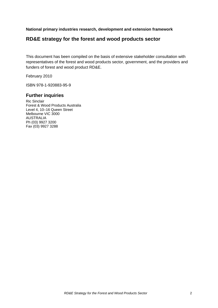**National primary industries research, development and extension framework** 

# **RD&E strategy for the forest and wood products sector**

This document has been compiled on the basis of extensive stakeholder consultation with representatives of the forest and wood products sector, government, and the providers and funders of forest and wood product RD&E.

February 2010

ISBN 978-1-920883-95-9

# **Further inquiries**

Ric Sinclair Forest & Wood Products Australia Level 4, 10–16 Queen Street Melbourne VIC 3000 AUSTRALIA Ph (03) 9927 3200 Fax (03) 9927 3288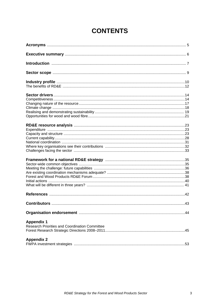| <b>Appendix 1</b><br>Research Priorities and Coordination Committee<br><b>Appendix 2</b> |  |
|------------------------------------------------------------------------------------------|--|
|                                                                                          |  |

# **CONTENTS**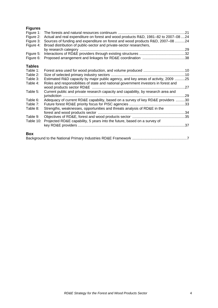# **Figures**

| Figure 1:     |                                                                                     |  |
|---------------|-------------------------------------------------------------------------------------|--|
| Figure 2:     | Actual and real expenditure on forest and wood products R&D, 1981-82 to 2007-08 24  |  |
| Figure 3:     | Sources of funding and expenditure on forest and wood products R&D, 2007–08 24      |  |
| Figure 4:     | Broad distribution of public-sector and private-sector researchers,                 |  |
|               |                                                                                     |  |
| Figure 5:     |                                                                                     |  |
| Figure 6:     |                                                                                     |  |
| <b>Tables</b> |                                                                                     |  |
| Table 1:      |                                                                                     |  |
| Table 2:      |                                                                                     |  |
| Table 3:      | Estimated R&D capacity by major public agency, and key areas of activity, 2009 25   |  |
| Table 4:      | Roles and responsibilities of state and national government investors in forest and |  |
|               |                                                                                     |  |
| Table 5:      | Current public and private research capacity and capability, by research area and   |  |
|               |                                                                                     |  |
| Table 6:      | Adequacy of current RD&E capability, based on a survey of key RD&E providers 30     |  |
| Table 7:      |                                                                                     |  |
| Table 8:      | Strengths, weaknesses, opportunities and threats analysis of RD&E in the            |  |
|               |                                                                                     |  |
| Table 9:      |                                                                                     |  |
| Table 10:     | Projected RD&E capability, 5 years into the future, based on a survey of            |  |
|               |                                                                                     |  |
|               |                                                                                     |  |
| <b>Box</b>    |                                                                                     |  |

|--|--|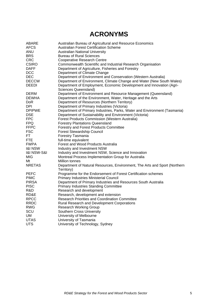# **ACRONYMS**

| ABARE                      | Australian Bureau of Agricultural and Resource Economics                   |
|----------------------------|----------------------------------------------------------------------------|
| AFCS                       | <b>Australian Forest Certification Scheme</b>                              |
| ANU                        | <b>Australian National University</b>                                      |
| <b>BRS</b>                 | <b>Bureau of Rural Sciences</b>                                            |
| <b>CRC</b>                 | <b>Cooperative Research Centre</b>                                         |
| <b>CSIRO</b>               | Commonwealth Scientific and Industrial Research Organisation               |
| <b>DAFF</b>                | Department of Agriculture, Fisheries and Forestry                          |
| <b>DCC</b>                 | Department of Climate Change                                               |
| <b>DEC</b>                 | Department of Environment and Conservation (Western Australia)             |
| <b>DECCW</b>               | Department of Environment, Climate Change and Water (New South Wales)      |
| <b>DEEDI</b>               | Department of Employment, Economic Development and Innovation (Agri-       |
|                            | Sciences Queensland)                                                       |
| DERM                       | Department of Environment and Resource Management (Queensland)             |
| <b>DEWHA</b>               | Department of the Environment, Water, Heritage and the Arts                |
| DoR.                       | Department of Resources (Northern Territory)                               |
| DPI.                       | Department of Primary Industries (Victoria)                                |
| <b>DPIPWE</b>              | Department of Primary Industries, Parks, Water and Environment (Tasmania)  |
| <b>DSE</b>                 | Department of Sustainability and Environment (Victoria)                    |
| <b>FPC</b>                 | <b>Forest Products Commission (Western Australia)</b>                      |
| <b>FPQ</b>                 | <b>Forestry Plantations Queensland</b>                                     |
| <b>FFPC</b>                | Forestry and Forest Products Committee                                     |
| FSC                        | Forest Stewardship Council                                                 |
| FT.                        | Forestry Tasmania                                                          |
| FTE                        | full-time equivalent                                                       |
| <b>FWPA</b>                | Forest and Wood Products Australia                                         |
| <b>I&amp;I NSW</b>         | Industry and Investment NSW                                                |
| <b>1&amp;I NSW-S&amp;I</b> | Industry and Investment NSW, Science and Innovation                        |
| MIG                        | Montreal Process Implementation Group for Australia                        |
| Mt                         | <b>Million tonnes</b>                                                      |
| <b>NRETAS</b>              | Department of Natural Resources, Environment, The Arts and Sport (Northern |
|                            | Territory)                                                                 |
| PEFC                       | Programme for the Endorsement of Forest Certification schemes              |
| <b>PIMC</b>                | <b>Primary Industries Ministerial Council</b>                              |
| <b>PIRSA</b>               | Department of Primary Industries and Resources South Australia             |
| <b>PISC</b>                | <b>Primary Industries Standing Committee</b>                               |
| R&D                        | Research and development                                                   |
| RD&E                       | Research, development and extension                                        |
| <b>RPCC</b>                | <b>Research Priorities and Coordination Committee</b>                      |
| <b>RRDC</b>                | Rural Research and Development Corporations                                |
| <b>RWG</b>                 | <b>Research Working Group</b>                                              |
| SCU                        | <b>Southern Cross University</b>                                           |
| UM                         | University of Melbourne                                                    |
| <b>UTAS</b>                | University of Tasmania                                                     |
| <b>UTS</b>                 | University of Technology, Sydney                                           |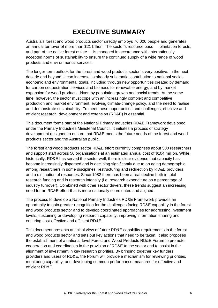# **EXECUTIVE SUMMARY**

Australia's forest and wood products sector directly employs 76,000 people and generates an annual turnover of more than \$21 billion. The sector's resource base — plantation forests, and part of the native forest estate — is managed in accordance with internationally accepted norms of sustainability to ensure the continued supply of a wide range of wood products and environmental services.

The longer-term outlook for the forest and wood products sector is very positive. In the next decade and beyond, it can increase its already substantial contribution to national social, economic and environmental goals, including through new opportunities created by demand for carbon sequestration services and biomass for renewable energy, and by market expansion for wood products driven by population growth and social trends. At the same time, however, the sector must cope with an increasingly complex and competitive production and market environment, evolving climate-change policy, and the need to realise and demonstrate sustainability. To meet these opportunities and challenges, effective and efficient research, development and extension (RD&E) is essential.

This document forms part of the National Primary Industries RD&E Framework developed under the Primary Industries Ministerial Council. It initiates a process of strategy development designed to ensure that RD&E meets the future needs of the forest and wood products sector and the Australian public.

The forest and wood products sector RD&E effort currently comprises about 500 researchers and support staff across 50 organisations at an estimated annual cost of \$104 million. While, historically, RD&E has served the sector well, there is clear evidence that capacity has become increasingly dispersed and is declining significantly due to an aging demographic among researchers in some disciplines, restructuring and redirection by RD&E providers, and a diminution of resources. Since 1982 there has been a real decline both in total research funding and in research intensity (i.e. research expenditure as a percentage of industry turnover). Combined with other sector drivers, these trends suggest an increasing need for an RD&E effort that is more nationally coordinated and aligned.

The process to develop a National Primary Industries RD&E Framework provides an opportunity to gain greater recognition for the challenges facing RD&E capability in the forest and wood products sector and to develop coordinated approaches for addressing investment levels, sustaining or developing research capability, improving information sharing and ensuring cost-effective and efficient RD&E.

This document presents an initial view of future RD&E capability requirements in the forest and wood products sector and sets out key actions that need to be taken. It also proposes the establishment of a national-level Forest and Wood Products RD&E Forum to promote cooperation and coordination in the provision of RD&E to the sector and to assist in the alignment of investment in key research priorities. By bringing together key funders, providers and users of RD&E, the Forum will provide a mechanism for reviewing priorities, monitoring capability, and developing common performance measures for effective and efficient RD&E.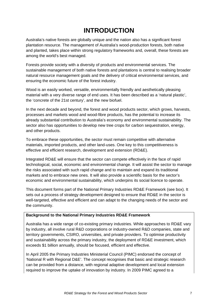# **INTRODUCTION**

Australia's native forests are globally unique and the nation also has a significant forest plantation resource. The management of Australia's wood-production forests, both native and planted, takes place within strong regulatory frameworks and, overall, these forests are among the world's best managed.

Forests provide society with a diversity of products and environmental services. The sustainable management of both native forests and plantations is central to realising broader natural resource management goals and the delivery of critical environmental services, and ensuring the economic future of the forest industry.

Wood is an easily worked, versatile, environmentally friendly and aesthetically pleasing material with a very diverse range of end uses. It has been described as a 'natural plastic', the 'concrete of the 21st century', and the new biofuel.

In the next decade and beyond, the forest and wood products sector, which grows, harvests, processes and markets wood and wood-fibre products, has the potential to increase its already substantial contribution to Australia's economy and environmental sustainability. The sector also has opportunities to develop new tree crops for carbon sequestration, energy, and other products.

To embrace these opportunities, the sector must remain competitive with alternative materials, imported products, and other land-uses. One key to this competitiveness is effective and efficient research, development and extension (RD&E).

Integrated RD&E will ensure that the sector can compete effectively in the face of rapid technological, social, economic and environmental change. It will assist the sector to manage the risks associated with such rapid change and to maintain and expand its traditional markets and to embrace new ones. It will also provide a scientific basis for the sector's economic and environmental sustainability, which underpins its social licence to operate.

This document forms part of the National Primary Industries RD&E Framework (see box). It sets out a process of strategy development designed to ensure that RD&E in the sector is well-targeted, effective and efficient and can adapt to the changing needs of the sector and the community.

### **Background to the National Primary Industries RD&E Framework**

Australia has a wide range of co-existing primary industries. While approaches to RD&E vary by industry, all involve rural R&D corporations or industry-owned R&D companies, state and territory governments, CSIRO, universities, and private providers. To optimise productivity and sustainability across the primary industry, the deployment of RD&E investment, which exceeds \$1 billion annually, should be focused, efficient and effective.

In April 2005 the Primary Industries Ministerial Council (PIMC) endorsed the concept of 'National R with Regional D&E'. The concept recognises that basic and strategic research can be provided from a distance, with regional adaptive development and local extension required to improve the uptake of innovation by industry. In 2009 PIMC agreed to a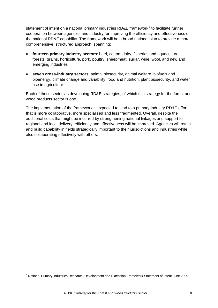<span id="page-7-0"></span>statement of intent on a national primary industries RD&E framework<sup>[1](#page-7-0)</sup> to facilitate further cooperation between agencies and industry for improving the efficiency and effectiveness of the national RD&E capability. The framework will be a broad national plan to provide a more comprehensive, structured approach, spanning:

- **fourteen primary industry sectors**: beef, cotton, dairy, fisheries and aquaculture, forests, grains, horticulture, pork, poultry, sheepmeat, sugar, wine, wool, and new and emerging industries
- **seven cross-industry sectors**: animal biosecurity, animal welfare, biofuels and bioenergy, climate change and variability, food and nutrition, plant biosecurity, and water use in agriculture.

Each of these sectors is developing RD&E strategies, of which this strategy for the forest and wood products sector is one.

The implementation of the framework is expected to lead to a primary-industry RD&E effort that is more collaborative, more specialised and less fragmented. Overall, despite the additional costs that might be incurred by strengthening national linkages and support for regional and local delivery, efficiency and effectiveness will be improved. Agencies will retain and build capability in fields strategically important to their jurisdictions and industries while also collaborating effectively with others.

 <sup>1</sup> National Primary Industries Research, Development and Extension Framework Statement of Intent June 2009.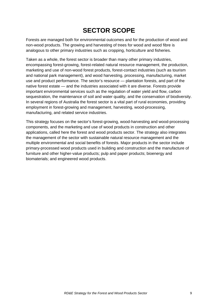# **SECTOR SCOPE**

Forests are managed both for environmental outcomes and for the production of wood and non-wood products. The growing and harvesting of trees for wood and wood fibre is analogous to other primary industries such as cropping, horticulture and fisheries.

Taken as a whole, the forest sector is broader than many other primary industries, encompassing forest-growing, forest-related natural resource management, the production, marketing and use of non-wood forest products, forest-contact industries (such as tourism and national park management), and wood harvesting, processing, manufacturing, market use and product performance. The sector's resource — plantation forests, and part of the native forest estate — and the industries associated with it are diverse. Forests provide important environmental services such as the regulation of water yield and flow, carbon sequestration, the maintenance of soil and water quality, and the conservation of biodiversity. In several regions of Australia the forest sector is a vital part of rural economies, providing employment in forest-growing and management, harvesting, wood-processing, manufacturing, and related service industries.

This strategy focuses on the sector's forest-growing, wood-harvesting and wood-processing components, and the marketing and use of wood products in construction and other applications, called here the forest and wood products sector. The strategy also integrates the management of the sector with sustainable natural resource management and the multiple environmental and social benefits of forests. Major products in the sector include primary-processed wood products used in building and construction and the manufacture of furniture and other higher-value products; pulp and paper products; bioenergy and biomaterials; and engineered wood products.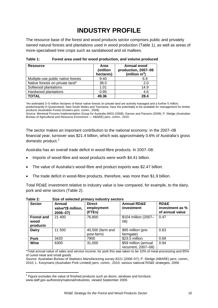# **INDUSTRY PROFILE**

<span id="page-9-0"></span>The resource base of the forest and wood products sector comprises public and privately owned natural forests and plantations used in wood production (Table 1), as well as areas of more-specialised tree crops such as sandalwood and oil mallees.

| <b>Resource</b>                    | Area<br>(million<br>hectares) | Annual wood<br>production, 2007-08<br>(million $m^3$ ) |
|------------------------------------|-------------------------------|--------------------------------------------------------|
| Multiple-use public native forests | 9.40                          | 6.9                                                    |
| Native forests on private land*    | 38.0                          | 2.0                                                    |
| Softwood plantations               | 1.01                          | 14.9                                                   |
| Hardwood plantations               | 0.95                          | 4.6                                                    |
| TOTAL                              | 49.36                         | 28.4                                                   |

| Table 1: | Forest area used for wood production, and volume produced |
|----------|-----------------------------------------------------------|
|----------|-----------------------------------------------------------|

\*An estimated 3–5 million hectares of these native forests on private land are actively managed and a further 5 million, predominantly in Queensland, New South Wales and Tasmania, have the potentially to be available for management for timber products (Australian Forest Growers pers. comm., 2009).

Source: Montreal Process Implementation Group for Australia (MIG) (2008); Gavran and Parsons (2009); P. Sledge (Australian Bureau of Agricultural and Resource Economics — ABARE) pers. comm., 2010.

The sector makes an important contribution to the national economy: in the 2007–08 financial year, turnover was \$21.4 billion, which was approximately 0.6% of Australia's gross domestic product.<sup>[2](#page-9-0)</sup>

Australia has an overall trade deficit in wood-fibre products. In 2007–08:

- Imports of wood-fibre and wood products were worth \$4.41 billion.
- The value of Australia's wood-fibre and product exports was \$2.47 billion.
- The trade deficit in wood-fibre products, therefore, was more than \$1.9 billion.

Total RD&E investment relative to industry value is low compared, for example, to the dairy, pork and wine sectors (Table 2).

| <b>Sector</b>                         | Annual<br>value*(\$ million,<br>$2006 - 07$ | <b>Annual RD&amp;E</b><br><b>Direct</b><br>employment<br>investment<br>(FTEs) |                                             | <b>RD&amp;E</b><br>investment as %<br>of annual value |
|---------------------------------------|---------------------------------------------|-------------------------------------------------------------------------------|---------------------------------------------|-------------------------------------------------------|
| <b>Forest and</b><br>wood<br>products | 21 400                                      | 76,800                                                                        | \$104 million (2007-<br>(08)                | 0.47                                                  |
| <b>Dairy</b>                          | 11 500                                      | 40,500 (farm and<br>post-farm)                                                | \$95 million (pre-<br>farmgate)             | 0.83                                                  |
| <b>Pork</b>                           | 3420                                        | 7900                                                                          | \$23.5 million                              | 0.69                                                  |
| Wine                                  | 6300                                        | 31,000                                                                        | \$59 million (annual<br>recurrent, 2007-08) | 0.94                                                  |

**Table 2: Size of selected primary industry sectors** 

\*Total annual value of sales and service income; for pork this was taken to be 10% of meat-processing and 85% of cured meat and small goods.

Source: Australian Bureau of Statistics Manufacturing survey 8221 (2006–07); P. Sledge (ABARE) pers. comm., 2010; L. Kooymans (Australian Pork Limited) pers. comm., 2010; various national RD&E strategies, 2009.

 2 Figure excludes the value of finished products such as doors, windows and furniture; [www.daff.gov.au/forestry/national/industries,](http://www.daff.gov.au/forestry/national/industries) viewed September 2009.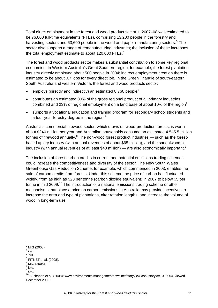<span id="page-10-0"></span>Total direct employment in the forest and wood product sector in 2007–08 was estimated to be 76,800 full-time equivalents (FTEs), comprising 13,200 people in the forestry and harvesting sectors and 6[3](#page-10-0),600 people in the wood and paper manufacturing sectors.<sup>3</sup> The sector also supports a range of remanufacturing industries; the inclusion of these increases the total employment estimate to about 120,000 FTEs. $4$ 

The forest and wood products sector makes a substantial contribution to some key regional economies. In Western Australia's Great Southern region, for example, the forest plantation industry directly employed about 500 people in 2004; indirect employment creation there is estimated to be about 0.7 jobs for every direct job. In the Green Triangle of south-eastern South Australia and western Victoria, the forest and wood products sector:

- employs (directly and indirectly) an estimated 8.760 people<sup>[5](#page-10-0)</sup>
- contributes an estimated 30% of the gross regional product of all primary industries combined and 23% of regional employment on a land base of about 10% of the region $6$
- supports a vocational education and training program for secondary school students and a four-year forestry degree in the region.<sup>[7](#page-10-0)</sup>

Australia's commercial firewood sector, which draws on wood-production forests, is worth about \$240 million per year and Australian households consume an estimated 4.5–5.5 million tonnes of firewood annually.<sup>[8](#page-10-0)</sup> The non-wood forest product industries — such as the forestbased apiary industry (with annual revenues of about \$65 million), and the sandalwood oil industry (with annual revenues of at least \$40 million) — are also economically important.<sup>[9](#page-10-0)</sup>

The inclusion of forest carbon credits in current and potential emissions trading schemes could increase the competitiveness and diversity of the sector. The New South Wales Greenhouse Gas Reduction Scheme, for example, which commenced in 2003, enables the sale of carbon credits from forests. Under this scheme the price of carbon has fluctuated widely, from as high as \$23 per tonne (carbon dioxide equivalent) in 2007 to below \$5 per tonne in mid 2009.<sup>[10](#page-10-0)</sup> The introduction of a national emissions trading scheme or other mechanisms that place a price on carbon emissions in Australia may provide incentives to increase the area and type of plantations, alter rotation lengths, and increase the volume of wood in long-term use.

 $3$  MIG (2008).

 $<sup>4</sup>$  ibid.</sup>

 $<sup>5</sup>$  ibid.</sup>

 $<sup>6</sup>$  FITNET et al. (2008).</sup>

 $\frac{7}{1}$  MIG (2008).

<sup>&</sup>lt;sup>8</sup> ibid.

<sup>&</sup>lt;sup>9</sup> ibid.

 $10$  Buchanan et al. (2008); www.environmentalmanagementnews.net/storyview.asp?storyid=1003054, viewed December 2009.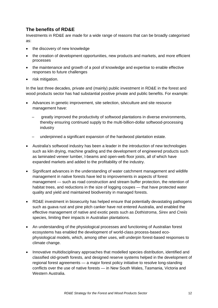# **The benefits of RD&E**

Investments in RD&E are made for a wide range of reasons that can be broadly categorised as:

- the discovery of new knowledge
- the creation of development opportunities, new products and markets, and more efficient processes
- the maintenance and growth of a pool of knowledge and expertise to enable effective responses to future challenges
- risk mitigation.

In the last three decades, private and (mainly) public investment in RD&E in the forest and wood products sector has had substantial positive private and public benefits. For example:

- Advances in genetic improvement, site selection, silviculture and site resource management have:
	- greatly improved the productivity of softwood plantations in diverse environments, thereby ensuring continued supply to the multi-billion-dollar softwood-processing industry
	- underpinned a significant expansion of the hardwood plantation estate.
- Australia's softwood industry has been a leader in the introduction of new technologies such as kiln drying, machine grading and the development of engineered products such as laminated veneer lumber, l-beams and open-web floor joists, all of which have expanded markets and added to the profitability of the industry.
- Significant advances in the understanding of water catchment management and wildlife management in native forests have led to improvements in aspects of forest management — such as road construction and stream buffer protection, the retention of habitat trees, and reductions in the size of logging coupes — that have protected water quality and yield and maintained biodiversity in managed forests.
- RD&E investment in biosecurity has helped ensure that potentially devastating pathogens such as guava rust and pine pitch canker have not entered Australia, and enabled the effective management of native and exotic pests such as *Dothistroma*, *Sirex* and *Creiis* species, limiting their impacts in Australian plantations.
- An understanding of the physiological processes and functioning of Australian forest ecosystems has enabled the development of world-class process-based ecophysiological models, which, among other uses, will underpin forest-based responses to climate change.
- Innovative multidisciplinary approaches that modelled species distribution, identified and classified old-growth forests, and designed reserve systems helped in the development of regional forest agreements — a major forest policy initiative to resolve long-standing conflicts over the use of native forests — in New South Wales, Tasmania, Victoria and Western Australia.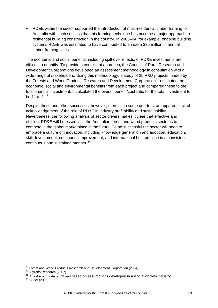<span id="page-12-0"></span>• RD&E within the sector supported the introduction of multi-residential timber framing to Australia with such success that this framing technique has become a major approach to residential building construction in the country. In 2003–04, for example, ongoing building systems RD&E was estimated to have contributed to an extra \$35 million in annual timber framing sales. $11$ 

The economic and social benefits, including spill-over effects, of RD&E investments are difficult to quantify. To provide a consistent approach, the Council of Rural Research and Development Corporations developed an assessment methodology in consultation with a wide range of stakeholders. Using this methodology, a study of 25 R&D projects funded by the Forests and Wood Products Research and Development Corporation<sup>[12](#page-12-0)</sup> estimated the economic, social and environmental benefits from each project and compared these to the total financial investment. It calculated the overall benefit/cost ratio for the total investment to be 11 to  $1^{13}$  $1^{13}$  $1^{13}$ 

Despite these and other successes, however, there is, in some quarters, an apparent lack of acknowledgement of the role of RD&E in industry profitability and sustainability. Nevertheless, the following analysis of sector drivers makes it clear that effective and efficient RD&E will be essential if the Australian forest and wood products sector is to compete in the global marketplace in the future. To be successful the sector will need to embrace a culture of innovation, including knowledge generation and adoption, education, skill development, continuous improvement, and international best practice in a consistent, continuous and sustained manner.<sup>[14](#page-12-0)</sup>

 $11$  Forest and Wood Products Research and Development Corporation (2004).<br> $12$  Agtrans Research (2007).

<sup>&</sup>lt;sup>12</sup> Agtrans Research (2007).<br><sup>13</sup> At a discount rate of 5% and based on assumptions developed in association with industry.<br><sup>14</sup> Cutler (2008).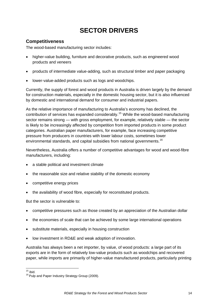# **SECTOR DRIVERS**

# <span id="page-13-0"></span>**Competitiveness**

The wood-based manufacturing sector includes:

- higher-value building, furniture and decorative products, such as engineered wood products and veneers
- products of intermediate value-adding, such as structural timber and paper packaging
- lower-value-added products such as logs and woodchips.

Currently, the supply of forest and wood products in Australia is driven largely by the demand for construction materials, especially in the domestic housing sector, but it is also influenced by domestic and international demand for consumer and industrial papers.

As the relative importance of manufacturing to Australia's economy has declined, the contribution of services has expanded considerably.[15](#page-13-0) While the wood-based manufacturing sector remains strong — with gross employment, for example, relatively stable — the sector is likely to be increasingly affected by competition from imported products in some product categories. Australian paper manufacturers, for example, face increasing competitive pressure from producers in countries with lower labour costs, sometimes lower environmental standards, and capital subsidies from national governments.<sup>[16](#page-13-0)</sup>

Nevertheless, Australia offers a number of competitive advantages for wood and wood-fibre manufacturers, including:

- a stable political and investment climate
- the reasonable size and relative stability of the domestic economy
- competitive energy prices
- the availability of wood fibre, especially for reconstituted products.

But the sector is vulnerable to:

- competitive pressures such as those created by an appreciation of the Australian dollar
- the economies of scale that can be achieved by some large international operations
- substitute materials, especially in housing construction
- low investment in RD&E and weak adoption of innovation.

Australia has always been a net importer, by value, of wood products: a large part of its exports are in the form of relatively low-value products such as woodchips and recovered paper, while imports are primarily of higher-value manufactured products, particularly printing

 $15$  ibid.<br> $16$  Pulp and Paper Industry Strategy Group (2009).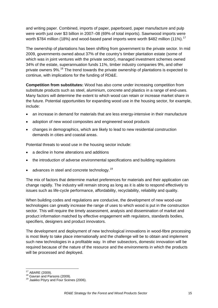<span id="page-14-0"></span>and writing paper. Combined, imports of paper, paperboard, paper manufacture and pulp were worth just over \$3 billion in 2007–08 (69% of total imports). Sawnwood imports were worth \$784 million (18%) and wood-based panel imports were worth \$482 million (11%).<sup>[17](#page-14-0)</sup>

The ownership of plantations has been shifting from government to the private sector. In mid 2009, governments owned about 37% of the country's timber plantation estate (some of which was in joint ventures with the private sector), managed investment schemes owned 34% of the estate, superannuation funds 11%, timber industry companies 9%, and other private owners 9%.<sup>[18](#page-14-0)</sup> The trend towards the private ownership of plantations is expected to continue, with implications for the funding of RD&E.

**Competition from substitutes:** Wood has also come under increasing competition from substitute products such as steel, aluminium, concrete and plastics in a range of end-uses. Many factors will determine the extent to which wood can retain or increase market share in the future. Potential opportunities for expanding wood use in the housing sector, for example, include:

- an increase in demand for materials that are less energy-intensive in their manufacture
- adoption of new wood composites and engineered wood products
- changes in demographics, which are likely to lead to new residential construction demands in cities and coastal areas.

Potential threats to wood use in the housing sector include:

- a decline in home alterations and additions
- the introduction of adverse environmental specifications and building regulations
- advances in steel and concrete technology.<sup>[19](#page-14-0)</sup>

The mix of factors that determine market preferences for materials and their application can change rapidly. The industry will remain strong as long as it is able to respond effectively to issues such as life-cycle performance, affordability, recyclability, reliability and quality.

When building codes and regulations are conducive, the development of new wood-use technologies can greatly increase the range of uses to which wood is put in the construction sector. This will require the timely assessment, analysis and dissemination of market and product information matched by effective engagement with regulators, standards bodies, specifiers, designers and product innovators.

The development and deployment of new technological innovations in wood-fibre processing is most likely to take place internationally and the challenge will be to obtain and implement such new technologies in a profitable way. In other subsectors, domestic innovation will be required because of the nature of the resource and the environments in which the products will be processed and deployed.

<u> Termin de la construcción de la construcción de la construcción de la construcción de la construcción de la c</u>

<sup>&</sup>lt;sup>17</sup> ABARE (2009).<br><sup>18</sup> Gavran and Parsons (2009).<br><sup>19</sup> Jaakko Pöyry and Four Scenes (2006).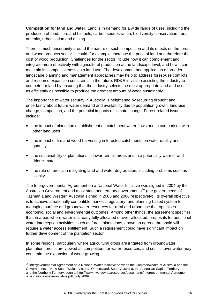<span id="page-15-0"></span>**Competition for land and water:** Land is in demand for a wide range of uses, including the production of food, fibre and biofuels, carbon sequestration, biodiversity conservation, rural amenity, urbanisation and mining.

There is much uncertainty around the nature of such competition and its effects on the forest and wood products sector. It could, for example, increase the price of land and therefore the cost of wood production. Challenges for the sector include how it can complement and integrate more effectively with agricultural production at the landscape level, and how it can maintain its competitiveness as a land use. The development and application of broader landscape planning and management approaches may help to address forest-use conflicts and resource expansion constraints in the future. RD&E is vital in assisting the industry to compete for land by ensuring that the industry selects the most appropriate land and uses it as efficiently as possible to produce the greatest amount of wood sustainably.

The importance of water security in Australia is heightened by recurring drought and uncertainty about future water demand and availability due to population growth, land-use change, competition, and the potential impacts of climate change. Forest-related issues include:

- the impact of plantation establishment on catchment water flows and in comparison with other land uses
- the impact of fire and wood-harvesting in forested catchments on water quality and quantity
- the sustainability of plantations in lower-rainfall areas and in a potentially warmer and drier climate
- the role of forests in mitigating land and water degradation, including problems such as salinity.

The Intergovernmental Agreement on a National Water Initiative was signed in 2004 by the Australian Government and most state and territory governments<sup>[20](#page-15-0)</sup> (the governments of Tasmania and Western Australia signed in 2005 and 2006 respectively). Its overall objective is to achieve a nationally compatible market-, regulatory- and planning-based system for managing surface and groundwater resources for rural and urban use that optimises economic, social and environmental outcomes. Among other things, the agreement specifies that, in areas where water is already fully allocated or over-allocated, proposals for additional water interception activities, such as forest plantations, above an agreed threshold will require a water access entitlement. Such a requirement could have significant impact on further development of the plantation sector.

In some regions, particularly where agricultural crops are irrigated from groundwater, plantation forests are viewed as competitors for water resources, and conflict over water may constrain the expansion of wood-growing.

 <sup>20</sup> Intergovernmental Agreement on a National Water Initiative between the Commonwealth of Australia and the Governments of New South Wales, Victoria, Queensland, South Australia, the Australian Capital Territory and the Northern Territory, seen at [http://www.nwc.gov.au/resources/documents/Intergovernmental-Agreement](http://www.nwc.gov.au/resources/documents/Intergovernmental-Agreement-on-a-national-water-initiative.pdf)[on-a-national-water-initiative.pdf,](http://www.nwc.gov.au/resources/documents/Intergovernmental-Agreement-on-a-national-water-initiative.pdf) July 2009.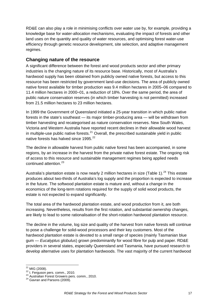<span id="page-16-0"></span>RD&E can also play a role in minimising conflicts over water use by, for example, providing a knowledge base for water-allocation mechanisms, evaluating the impact of forests and other land uses on the quantity and quality of water resources, and optimising forest water-use efficiency through genetic resource development, site selection, and adaptive management regimes.

# **Changing nature of the resource**

A significant difference between the forest and wood products sector and other primary industries is the changing nature of its resource base. Historically, most of Australia's hardwood supply has been obtained from publicly owned native forests, but access to this resource has been restricted by government land-use decisions. The area of publicly owned native forest available for timber production was 9.4 million hectares in 2005–06 compared to 11.4 million hectares in 2000–01, a reduction of 18%. Over the same period, the area of public nature conservation reserves (in which timber harvesting is not permitted) increased from 21.5 million hectares to 23 million hectares.

In 1999 the Government of Queensland initiated a 25-year transition in which public native forests in the state's southeast — its major timber-producing area — will be withdrawn from timber harvesting and recategorised as nature conservation reserves. New South Wales, Victoria and Western Australia have reported recent declines in their allowable wood harvest in multiple-use public native forests. $^{21}$  $^{21}$  $^{21}$  Overall, the prescribed sustainable vield in public native forests has halved since 1995.<sup>[22](#page-16-0)</sup>

The decline in allowable harvest from public native forest has been accompanied, in some regions, by an increase in the harvest from the private native forest estate. The ongoing risk of access to this resource and sustainable management regimes being applied needs continued attention.<sup>[23](#page-16-0)</sup>

Australia's plantation estate is now nearly 2 million hectares in size (Table 1).<sup>[24](#page-16-0)</sup> This estate produces about two-thirds of Australia's log supply and the proportion is expected to increase in the future. The softwood plantation estate is mature and, without a change in the economics of the long-term rotations required for the supply of solid wood products, the estate is not expected to expand significantly.

The total area of the hardwood plantation estate, and wood production from it, are both increasing. Nevertheless, results from the first rotation, and substantial ownership changes, are likely to lead to some rationalisation of the short-rotation hardwood plantation resource.

The decline in the volume, log size and quality of the harvest from native forests will continue to pose a challenge for solid-wood processors and their key customers. Most of the hardwood plantation estate is devoted to a small range of species (mainly Tasmanian blue gum — *Eucalyptus globulus*) grown predominantly for wood fibre for pulp and paper. RD&E providers in several states, especially Queensland and Tasmania, have pursued research to develop alternative uses for plantation hardwoods. The vast majority of the current hardwood

<sup>&</sup>lt;u> 1989 - Andrea Andrew Maria (h. 1989).</u><br>Digwyddiadau

<sup>&</sup>lt;sup>21</sup> MIG (2008).<br><sup>22</sup> I. Ferguson pers. comm., 2010.<br><sup>23</sup> Australian Forest Growers pers. comm., 2010.<br><sup>24</sup> Gavran and Parsons (2009).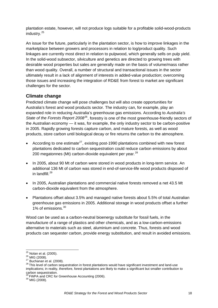<span id="page-17-0"></span>plantation estate, however, will not produce logs suitable for a profitable solid-wood-products industry.<sup>[25](#page-17-0)</sup>

An issue for the future, particularly in the plantation sector, is how to improve linkages in the marketplace between growers and processors in relation to log/product quality. Such linkages are currently most direct in relation to pulpwood, which generally sells on pulp yield. In the solid-wood subsector, silviculture and genetics are directed to growing trees with desirable wood properties but sales are generally made on the basis of volume/mass rather than wood quality. Overall, a number of structural and transactional issues in the sector ultimately result in a lack of alignment of interests in added-value production; overcoming those issues and increasing the integration of RD&E from forest to market are significant challenges for the sector.

# **Climate change**

Predicted climate change will pose challenges but will also create opportunities for Australia's forest and wood products sector. The industry can, for example, play an expanded role in reducing Australia's greenhouse gas emissions. According to *Australia's State of the Forests Report 2008*[26](#page-17-0), forestry is one of the most greenhouse-friendly sectors of the Australian economy — it was, for example, the only industry sector to be carbon-positive in 2005. Rapidly growing forests capture carbon, and mature forests, as well as wood products, store carbon until biological decay or fire returns the carbon to the atmosphere.

- According to one estimate<sup>[27](#page-17-0)</sup>, existing post-1990 plantations combined with new forest plantations dedicated to carbon sequestration could reduce carbon emissions by about 200 megatonnes (Mt) carbon-dioxide equivalent per year. $^{28}$  $^{28}$  $^{28}$
- In 2005, about 90 Mt of carbon were stored in wood products in long-term service. An additional 136 Mt of carbon was stored in end-of-service-life wood products disposed of in landfill.[29](#page-17-0)
- In 2005, Australian plantations and commercial native forests removed a net 43.5 Mt carbon-dioxide equivalent from the atmosphere.
- Plantations offset about 3.5% and managed native forests about 5.5% of total Australian greenhouse gas emissions in 2005. Additional storage in wood products offset a further 1% of emissions.<sup>[30](#page-17-0)</sup>

Wood can be used as a carbon-neutral bioenergy substitute for fossil fuels, in the manufacture of a range of plastics and other chemicals, and as a low-carbon-emissions alternative to materials such as steel, aluminium and concrete. Thus, forests and wood products can sequester carbon, provide energy substitution, and result in avoided emissions.

 $25$  Nolan et al. (2005).

<sup>26</sup> Nolan et al. (2005).<br>
26 MIG (2008).<br>
<sup>27</sup> Buchanan et al. (2008).<br>
<sup>28</sup> This level of carbon sequestration in forest plantations would have significant investment and land-use implications; in reality, therefore, forest plantations are likely to make a significant but smaller contribution to carbon sequestration.

 $^{29}$  FWPA and CRC for Greenhouse Accounting (2006).<br> $^{30}$  MIG (2008).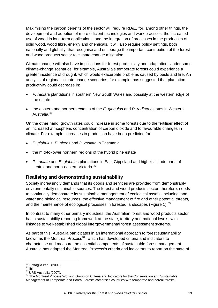<span id="page-18-0"></span>Maximising the carbon benefits of the sector will require RD&E for, among other things, the development and adoption of more efficient technologies and work practices, the increased use of wood in long-term applications, and the integration of processes in the production of solid wood, wood fibre, energy and chemicals. It will also require policy settings, both nationally and globally, that recognise and encourage the important contribution of the forest and wood products sector to climate-change mitigation.

Climate change will also have implications for forest productivity and adaptation. Under some climate-change scenarios, for example, Australia's temperate forests could experience a greater incidence of drought, which would exacerbate problems caused by pests and fire. An analysis of regional climate-change scenarios, for example, has suggested that plantation productivity could decrease in:

- *P. radiata* plantations in southern New South Wales and possibly at the western edge of the estate
- the eastern and northern extents of the *E. globulus* and *P. radiata* estates in Western Australia.<sup>[31](#page-18-0)</sup>

On the other hand, growth rates could increase in some forests due to the fertiliser effect of an increased atmospheric concentration of carbon dioxide and to favourable changes in climate. For example, increases in production have been predicted for:

- *E. globulus*, *E. nitens* and *P. radiata* in Tasmania
- the mid-to-lower northern regions of the hybrid pine estate
- *P. radiata* and *E. globulus* plantations in East Gippsland and higher-altitude parts of central and north-eastern Victoria.<sup>[32](#page-18-0)</sup>

# **Realising and demonstrating sustainability**

Society increasingly demands that its goods and services are provided from demonstrably environmentally sustainable sources. The forest and wood products sector, therefore, needs to continually demonstrate its sustainable management of ecological assets, including land, water and biological resources, the effective management of fire and other potential threats, and the maintenance of ecological processes in forested landscapes (Figure 1).<sup>[33](#page-18-0)</sup>

In contrast to many other primary industries, the Australian forest and wood products sector has a sustainability reporting framework at the state, territory and national levels, with linkages to well-established global intergovernmental forest assessment systems.

As part of this, Australia participates in an international approach to forest sustainability known as the Montreal Process $34$ , which has developed criteria and indicators to characterise and measure the essential components of sustainable forest management. Australia has adapted the Montreal Process's criteria and indicators to report on the state of

 $31$  Battaglia et al. (2009).

<sup>32</sup> Battaglia et al. (2009).<br><sup>33</sup> ibid.<br><sup>33</sup> URS Australia (2007).<br><sup>34</sup> The Montreal Process Working Group on Criteria and Indicators for the Conservation and Sustainable Management of Temperate and Boreal Forests comprises countries with temperate and boreal forests.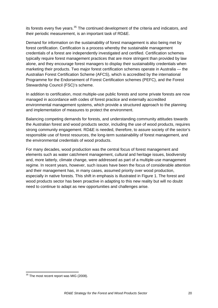<span id="page-19-0"></span>its forests every five years.<sup>[35](#page-19-0)</sup> The continued development of the criteria and indicators, and their periodic measurement, is an important task of RD&E.

Demand for information on the sustainability of forest management is also being met by forest certification. Certification is a process whereby the sustainable management credentials of a forest are independently investigated and certified. Certification schemes typically require forest management practices that are more stringent than provided by law alone, and they encourage forest managers to display their sustainability credentials when marketing their products. Two major forest certification schemes operate in Australia — the Australian Forest Certification Scheme (AFCS), which is accredited by the international Programme for the Endorsement of Forest Certification schemes (PEFC), and the Forest Stewardship Council (FSC)'s scheme.

In addition to certification, most multiple-use public forests and some private forests are now managed in accordance with codes of forest practice and externally accredited environmental management systems, which provide a structured approach to the planning and implementation of measures to protect the environment.

Balancing competing demands for forests, and understanding community attitudes towards the Australian forest and wood products sector, including the use of wood products, requires strong community engagement. RD&E is needed, therefore, to assure society of the sector's responsible use of forest resources, the long-term sustainability of forest management, and the environmental credentials of wood products.

For many decades, wood production was the central focus of forest management and elements such as water catchment management, cultural and heritage issues, biodiversity and, more latterly, climate change, were addressed as part of a multiple-use management regime. In recent years, however, such issues have been the focus of considerable attention and their management has, in many cases, assumed priority over wood production, especially in native forests. This shift in emphasis is illustrated in Figure 1. The forest and wood products sector has been proactive in adapting to this new reality but will no doubt need to continue to adapt as new opportunities and challenges arise.

<sup>&</sup>lt;u> Andrew Maria (1989)</u>  $35$  The most recent report was MIG (2008).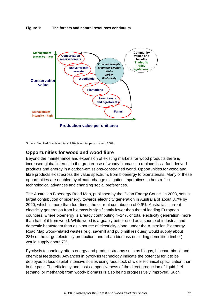

**Figure 1: The forests and natural resources continuum** 

Source: Modified from Nambiar (1996), Nambiar pers. comm., 2009.

# **Opportunities for wood and wood fibre**

Beyond the maintenance and expansion of existing markets for wood products there is increased global interest in the greater use of woody biomass to replace fossil-fuel-derived products and energy in a carbon-emissions-constrained world. Opportunities for wood and fibre products exist across the value spectrum, from bioenergy to biomaterials. Many of these opportunities are enabled by climate-change mitigation imperatives; others reflect technological advances and changing social preferences.

The Australian Bioenergy Road Map, published by the Clean Energy Council in 2008, sets a target contribution of bioenergy towards electricity generation in Australia of about 3.7% by 2020, which is more than four times the current contribution of 0.9%. Australia's current electricity generation from biomass is significantly lower than that of leading European countries, where bioenergy is already contributing 4–14% of total electricity generation, more than half of it from wood. While wood is arguably better used as a source of industrial and domestic heat/steam than as a source of electricity alone, under the Australian Bioenergy Road Map wood-related wastes (e.g. sawmill and pulp mill residues) would supply about 28% of the target electricity production, and urban biomass (including demolition timber) would supply about 7%.

Pyrolysis technology offers energy and product streams such as biogas, biochar, bio-oil and chemical feedstock. Advances in pyrolysis technology indicate the potential for it to be deployed at less-capital-intensive scales using feedstock of wider technical specification than in the past. The efficiency and cost-competitiveness of the direct production of liquid fuel (ethanol or methanol) from woody biomass is also being progressively improved. Such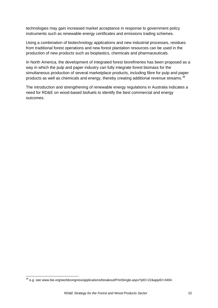<span id="page-21-0"></span>technologies may gain increased market acceptance in response to government policy instruments such as renewable energy certificates and emissions trading schemes.

Using a combination of biotechnology applications and new industrial processes, residues from traditional forest operations and new forest plantation resources can be used in the production of new products such as bioplastics, chemicals and pharmaceuticals.

In North America, the development of integrated forest biorefineries has been proposed as a way in which the pulp and paper industry can fully integrate forest biomass for the simultaneous production of several marketplace products, including fibre for pulp and paper products as well as chemicals and energy, thereby creating additional revenue streams.<sup>[36](#page-21-0)</sup>

The introduction and strengthening of renewable energy regulations in Australia indicates a need for RD&E on wood-based biofuels to identify the best commercial and energy outcomes.

<u> 1989 - Andrea Albert III, martin amerikan bahasa dalam personal dan bahasa dalam pengaran bahasa dalam penga</u>

<sup>&</sup>lt;sup>36</sup> e.g. see [www.bio.org/worldcongress/applications/breakout/PrintSingle.aspx?pID=22&appID=3494](http://www.bio.org/worldcongress/applications/breakout/PrintSingle.aspx?pID=22&appID=3494).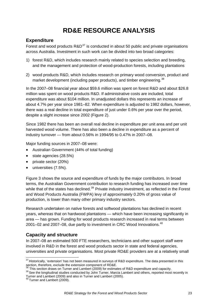# **RD&E RESOURCE ANALYSIS**

# <span id="page-22-0"></span>**Expenditure**

Forest and wood products  $R&D^{37}$  $R&D^{37}$  $R&D^{37}$  is conducted in about 50 public and private organisations across Australia. Investment in such work can be divided into two broad categories:

- 1) forest R&D, which includes research mainly related to species selection and breeding, and the management and protection of wood-production forests, including plantations
- 2) wood products R&D, which includes research on primary wood conversion, product and market development (including paper products), and timber engineering.<sup>[38](#page-22-0)</sup>

In the 2007–08 financial year about \$59.6 million was spent on forest R&D and about \$26.8 million was spent on wood products R&D. If administrative costs are included, total expenditure was about \$104 million. In unadjusted dollars this represents an increase of about 4.7% per year since 1981–82. When expenditure is adjusted to 1982 dollars, however, there was a real decline in total expenditure of just under 0.6% per year over the period, despite a slight increase since 2002 (Figure 2).

Since 1982 there has been an overall real decline in expenditure per unit area and per unit harvested wood volume. There has also been a decline in expenditure as a percent of industry turnover — from about 0.56% in 1994/95 to 0.47% in 2007–08.

Major funding sources in 2007–08 were:

- Australian Government (44% of total funding)
- state agencies (28.5%)
- private sector (20%)
- universities (7.5%).

Figure 3 shows the source and expenditure of funds by the major contributors. In broad terms, the Australian Government contribution to research funding has increased over time while that of the states has declined.<sup>[39](#page-22-0)</sup> Private industry investment, as reflected in the Forest and Wood Products Australia (FWPA) levy of approximately 0.20% of gross value of production, is lower than many other primary industry sectors.

Research undertaken on native forests and softwood plantations has declined in recent years, whereas that on hardwood plantations — which have been increasing significantly in area — has grown. Funding for wood products research increased in real terms between 2001–02 and 2007–08, due partly to investment in CRC Wood Innovations.<sup>[40](#page-22-0)</sup>

# **Capacity and structure**

In 2007–08 an estimated 500 FTE researchers, technicians and other support staff were involved in R&D in the forest and wood products sector in state and federal agencies, universities and private organisations. Most private RD&E providers are at a relatively small

 $37$  Historically, 'extension' has not been measured in surveys of R&D expenditure. The data presented in this section, therefore, exclude the extension component of RD&E.<br><sup>38</sup> This section draws on Turner and Lambert (2009) for estimates of R&D expenditure and capacity.<br><sup>39</sup> See the longitudinal studies conducted by John Turner, M

Turner and Lambert (2009) and also in Turner and Lambert (2005).

<sup>40</sup> Turner and Lambert (2009).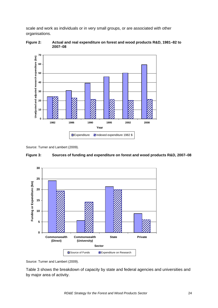scale and work as individuals or in very small groups, or are associated with other organisations.





Source: Turner and Lambert (2009).





Source: Turner and Lambert (2009).

Table 3 shows the breakdown of capacity by state and federal agencies and universities and by major area of activity.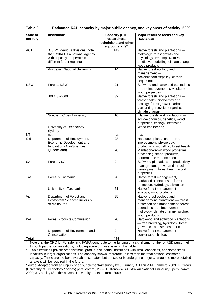| State or<br>territory | Institution*                                                                                                                  | <b>Capacity (FTE</b><br>researchers,<br>technicians and other<br>support staff)** | Major resource focus and key<br>R&D areas                                                                                                                                                    |
|-----------------------|-------------------------------------------------------------------------------------------------------------------------------|-----------------------------------------------------------------------------------|----------------------------------------------------------------------------------------------------------------------------------------------------------------------------------------------|
| <b>ACT</b>            | CSIRO (various divisions; note<br>that CSIRO is a national agency<br>with capacity to operate in<br>different forest regions) | 143                                                                               | Native forests and plantations -<br>hydrology, forest growth and<br>physiology, tree improvement,<br>predictive modelling, climate change,<br>wood products                                  |
|                       | Australian National University                                                                                                | 14                                                                                | Native forest ecology and<br>$m$ anagement $-$<br>socioeconomics/policy, carbon<br>sequestration                                                                                             |
| <b>NSW</b>            | <b>Forests NSW</b>                                                                                                            | 21                                                                                | Softwood and hardwood plantations<br>- tree improvement, silviculture,<br>wood properties                                                                                                    |
|                       | <b>1&amp;I NSW-S&amp;I</b>                                                                                                    | 32                                                                                | Native forests and plantations -<br>forest health, biodiversity and<br>ecology, forest growth, carbon<br>accounting, recycled organics,<br>climate change                                    |
|                       | Southern Cross University                                                                                                     | 10                                                                                | Native forests and plantations -<br>socioeconomics, genetics, wood<br>properties, ecology, extension                                                                                         |
|                       | University of Technology<br>Sydney                                                                                            | 5                                                                                 | Wood engineering                                                                                                                                                                             |
| <b>NT</b>             | n.a.                                                                                                                          | n.a.                                                                              | n.a.                                                                                                                                                                                         |
| Qld                   | Department of Employment,<br>Economic Development and<br>Innovation (Agri-Sciences                                            | 28                                                                                | Hardwood plantations - tree<br>improvement, physiology,<br>productivity, modelling, forest health                                                                                            |
|                       | Queensland)                                                                                                                   | 20                                                                                | Plantation-grown wood properties,<br>processing, timber products,<br>performance enhancement                                                                                                 |
| <b>SA</b>             | Forestry SA                                                                                                                   | 24                                                                                | Softwood plantations - productivity<br>management growth and model<br>development, forest health, wood<br>properties                                                                         |
| Tas.                  | Forestry Tasmania                                                                                                             | 28                                                                                | Native forest management,<br>hardwood plantations - forest<br>protection, hydrology, silviculture                                                                                            |
|                       | University of Tasmania                                                                                                        | 21                                                                                | Native forest management -<br>ecology, wood products                                                                                                                                         |
| Vic.                  | Department of Forest and<br>Ecosystem Science/University<br>of Melbourne                                                      | 59                                                                                | Native forest ecology and<br>management, plantations - forest<br>protection and management, forest<br>operations, tree improvement,<br>hydrology, climate change, wildfire,<br>wood products |
| WA                    | <b>Forest Products Commission</b>                                                                                             | 20                                                                                | Hardwood and softwood plantations<br>- tree breeding, hydrology, forest<br>growth, carbon sequestration                                                                                      |
|                       | Department of Environment and<br>Conservation                                                                                 | 24                                                                                | Native forest management -<br>conservation biology                                                                                                                                           |
| <b>Total</b>          |                                                                                                                               | 449                                                                               |                                                                                                                                                                                              |

#### **Table 3: Estimated R&D capacity by major public agency, and key areas of activity, 2009**

Note that the CRC for Forestry and FWPA contribute to the funding of a significant number of R&D personnel through partner organisations, including some of those listed in this table.

\*\* Table excludes private organisations, graduate students, institutions with small capacities, and some small localities in larger organisations. The capacity shown, therefore, is less than the total national estimated capacity. These are the best-available estimates, but the sector is undergoing major change and more detailed analysis will be required in the future.

Source: Adapted from an unpublished supplementary survey by J. Turner, D. Flinn & M. Lambert, 2009; K. Crews (University of Technology Sydney) pers. comm., 2009; P. Kanowski (Australian National University), pers. comm., 2009; J. Vanclay (Southern Cross University), pers. comm., 2009.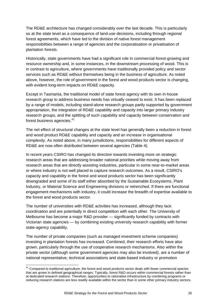<span id="page-25-0"></span>The RD&E architecture has changed considerably over the last decade. This is particularly so at the state level as a consequence of land-use decisions, including through regional forest agreements, which have led to the division of native forest management responsibilities between a range of agencies and the corporatisation or privatisation of plantation forests.

Historically, state governments have had a significant role in commercial forest-growing and resource ownership and, in some instances, in the downstream processing of wood. This is in contrast to agriculture, where governments have traditionally provided policy and sector services such as RD&E without themselves being in the business of agriculture. As noted above, however, the role of government in the forest and wood products sector is changing, with evident long-term impacts on RD&E capacity.

Except in Tasmania, the traditional model of state forest agency with its own in-house research group to address business needs has virtually ceased to exist. It has been replaced by a range of models, including stand-alone research groups partly supported by government appropriation, the integration of RD&E capability and capacity into larger primary industry research groups, and the splitting of such capability and capacity between conservation and forest business agencies.<sup>[41](#page-25-0)</sup>

The net effect of structural changes at the state level has generally been a reduction in forest and wood product RD&E capability and capacity and an increase in organisational complexity. As noted above, in many jurisdictions, responsibilities for different aspects of RD&E are now often distributed between several agencies (Table 4).

In recent years CSIRO has changed its direction towards investing more on strategic research areas that are addressing broader national priorities while moving away from research areas that are directly assisting industries, particular in some near-to-market areas or where industry is not well placed to capture research outcomes. As a result, CSIRO's capacity and capability in the forest and wood products sector has been significantly downgraded and some of its staff either absorbed by the Sustainable Ecosystems, Plant Industry, or Material Science and Engineering divisions or retrenched. If there are functional engagement mechanisms with industry, it could increase the breadth of expertise available to the forest and wood products sector.

The number of universities with RD&E activities has increased, although they lack coordination and are potentially in direct competition with each other. The University of Melbourne has become a major R&D provider — significantly funded by contracts with Victorian state agencies — by combining existing university research capability with former state-agency capability.

The number of private companies (such as managed investment scheme companies) investing in plantation forests has increased. Combined, their research efforts have also grown, particularly through the use of cooperative research mechanisms. Also within the private sector (although some government agencies may also be involved), are a number of national representative, technical associations and state-based industry or promotion

<u> Tanzania de la contenentación de la contenentación de la contenentación de la contenentación de la contenenta</u><br>Establecer el contenentación de la contenentación de la contenentación de la contenentación de la contenentac

 $41$  Compared to traditional agriculture, the forest and wood products sector deals with fewer commercial species that are grown in defined geographical ranges. Typically, forest R&D occurs within commercial forests rather than at dedicated research stations. Therefore, opportunities to rationalise infrastructure by combining programs or reducing research stations are less readily available within the sector than in some other primary industry sectors.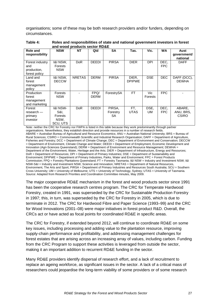organisations; some of these may be both research providers and/or funders, depending on circumstances.

| Role and<br>responsibility                             | <b>NSW</b>                                                 | <b>NT</b>     | Qld          | <b>SA</b>                | Tas.                   | Vic.                  | <b>WA</b>          | Aust<br>qovernment/<br>national     |
|--------------------------------------------------------|------------------------------------------------------------|---------------|--------------|--------------------------|------------------------|-----------------------|--------------------|-------------------------------------|
| Forest industry<br>and<br>production,<br>forest policy | <b>I&amp;I NSW,</b><br>Forests<br><b>NSW</b>               | <b>DoR</b>    | <b>DEEDI</b> | <b>PIRSA</b>             | <b>DIER</b>            | DPI                   | DEC,<br><b>FPC</b> | <b>DAFF</b>                         |
| Land and<br>forest<br>management<br>policy             | <b>I&amp;I NSW,</b><br><b>DECCW</b>                        | <b>NRETAS</b> | <b>DERM</b>  | <b>PIRSA</b>             | DIER,<br><b>DPIPWE</b> | <b>DSE</b>            | <b>DEC</b>         | DAFF (DCC),<br><b>DEWHA</b>         |
| Production<br>forest<br>management<br>and marketing    | Forests<br><b>NSW</b>                                      |               | FPQ/<br>DERM | ForestrySA               | <b>FT</b>              | Vic<br><b>Forests</b> | <b>FPC</b>         |                                     |
| Forest<br>research —<br>primary<br>investor            | <b>I&amp;I NSW-</b><br>S&I.<br>Forests<br>NSW,<br>SCU, UTS | <b>DoR</b>    | DEEDI        | PIRSA.<br>Forestry<br>SA | FT,<br>UTAS            | DSE,<br>UM            | DEC,<br><b>FPC</b> | ABARE,<br>ANU, BRS.<br><b>CSIRO</b> |

**Table 4: Roles and responsibilities of state and national government investors in forest and wood products sector RD&E** 

Note: neither the CRC for Forestry nor FWPA is listed in this table because they work predominantly through partner organisations. Nevertheless, they establish direction and provide resources in a number of research fields. ABARE = Australian Bureau of Agricultural and Resource Economics; ANU = Australian National University; BRS = Bureau of Rural Sciences; CSIRO = Commonwealth Scientific and Industrial Research Organisation; DAFF = Department of Agriculture, Fisheries and Forestry; DCC = Department of Climate Change; DEC = Department of Environment and Conservation; DECCW = Department of Environment, Climate Change and Water; DEEDI = Department of Employment, Economic Development and Innovation (Agri-Sciences Queensland); DERM = Department of Environment and Resource Management; DEWHA = Department of the Environment, Water, Heritage and the Arts; DIER = Department of Infrastructure, Energy and Resources; DoR = Department of Resources; DPI = Department of Primary Industries; DSE = Department of Sustainability and Environment; DPIPWE = Department of Primary Industries, Parks, Water and Environment; FPC = Forest Products Commission; FPQ = Forestry Plantations Queensland; FT = Forestry Tasmania; I&I NSW = Industry and Investment NSW; I&I NSW-S&I = Industry and Investment NSW, Science and Innovation; NRETAS = Department of Natural Resources, Environment, The Arts and Sport; PIRSA = Department of Primary Industries and Resources South Australia; SCU = Southern Cross University; UM = University of Melbourne; UTS = University of Technology, Sydney; UTAS = University of Tasmania. Source: Adapted from Research Priorities and Coordination Committee minutes, May 2009.

The major cooperative RD&E mechanism in the forest and wood products sector since 1991 has been the cooperative research centres program. The CRC for Temperate Hardwood Forestry, created in 1991, was superseded by the CRC for Sustainable Production Forestry in 1997; this, in turn, was superseded by the CRC for Forestry in 2005, which is due to terminate in 2012. The CRC for Hardwood Fibre and Paper Science (1993–99) and the CRC for Wood Innovations (2001–08) were major initiatives in forest product R&D. Overall, the CRCs act or have acted as focal points for coordinated RD&E in specific areas.

The CRC for Forestry, if extended beyond 2012, will continue to coordinate RD&E on some key issues, including processing and adding value to the plantation resource, improving supply-chain performance and profitability, and addressing management challenges for forest estates that are arising across an increasing array of values, including carbon. Funding from the CRC Program to support these activities is leveraged from outside the sector, making it an important addition to recurrent RD&E funding in the sector.

Many RD&E providers identify dispersal of research effort, and a lack of recruitment to replace an ageing workforce, as significant issues in the sector. A lack of a critical mass of researchers could jeopardise the long-term viability of some providers or of some research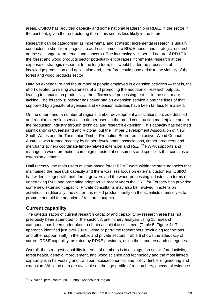<span id="page-27-0"></span>areas. CSIRO has provided capacity and some national leadership in RD&E in the sector in the past but, given the restructuring there, this seems less likely in the future.

Research can be categorised as incremental and strategic: incremental research is usually conducted in short-term projects to address immediate RD&E needs and strategic research addresses longer-term trends and concerns. The increasingly dispersed nature of RD&E in the forest and wood products sector potentially encourages incremental research at the expense of strategic research. In the long term, this would hinder the processes of knowledge production and application and, therefore, could pose a risk to the viability of the forest and wood products sector.

Data on expenditure and the number of people employed in extension activities — that is, the effort devoted to raising awareness of and promoting the adoption of research outputs, leading to impacts on productivity, the efficiency of processing, etc. — in the sector are lacking. The forestry subsector has never had an extension service along the lines of that supported by agricultural agencies and extension activities have been far less formalised.

On the other hand, a number of regional timber development associations provide detailed and regular extension services to timber-users in the broad construction marketplace and to the production industry through technical and research extension. This capacity has declined significantly in Queensland and Victoria, but the Timber Development Association of New South Wales and the Tasmanian Timber Promotion Board remain active. Wood Council Australia was formed recently by timber development associations, timber producers and merchants to help coordinate timber-related extension and R&D.<sup>[42](#page-27-0)</sup> FWPA supports and manages a wood promotion campaign directed at consumers and specifiers that contains a extension element.

Until recently, the main users of state-based forest RD&E were within the state agencies that maintained the research capacity and there was less focus on external customers. CSIRO had wider linkages with both forest growers and the wood-processing industries in terms of undertaking R&D and promoting adoption. In recent years the CRC for Forestry has provided some new extension capacity. Private consultants may also be involved in extension activities. Traditionally, the sector has relied predominantly on the scientists themselves to promote and aid the adoption of research outputs.

# **Current capability**

The categorisation of current research capacity and capability by research area has not previously been attempted for the sector. A preliminary analysis using 15 research categories has been undertaken to obtain an initial assessment (Table 5, Figure 4). This approach identified just over 280 full-time or part-time researchers (excluding technicians and other support staff) in the public and private sectors. Table 6 shows the adequacy of current RD&E capability, as rated by RD&E providers, using the same research categories.

Overall, the strongest capability in terms of numbers is in ecology, forest soils/productivity, forest health, genetic improvement, and wood science and technology and the most limited capability is in harvesting and transport, socioeconomics and policy, timber engineering and extension. While no data are available on the age profile of researchers, anecdotal evidence

<sup>&</sup>lt;u> 1989 - Andrea Albert III, martin amerikan bahasa dalam personal dan bahasa dalam pengaran bahasa dalam penga</u> <sup>42</sup> G. Nolan, pers. comm. 2010 ; http://woodcouncil.org.au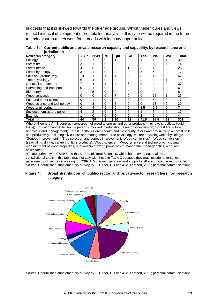suggests that it is skewed towards the older age groups. Whilst these figures and views reflect historical development more detailed analysis of this type will be required in the future to endeavour to match work force needs with industry opportunities.

| <b>Research category</b>    | ACT*     | <b>NSW</b>     | <b>NT</b>    | Qld      | <b>SA</b> | Tas.           | Vic.           | <b>WA</b>      | <b>Total</b> |
|-----------------------------|----------|----------------|--------------|----------|-----------|----------------|----------------|----------------|--------------|
| Ecology                     | 2        |                | 0            |          | 0         | 4              | 12             | 4              | 30           |
| Forest fire                 | 3        |                | $\Omega$     | 0        | 0         | 2              | 6              | $\overline{2}$ | 14           |
| Forest health               | 4        | 5              | $\Omega$     | 6        |           | 3              | 4              | 3              | 26           |
| Forest hydrology            | 3        |                | $\Omega$     | 0        | 0         | 5              | 6              | 2              | 17           |
| Soils and productivity      | 13       | 11             | 4            | 4        | 5         | 8              | 15             | 5              | 62           |
| Tree physiology             | 6        | 4              | 0            | 2        | 0         | 4              | $\overline{2}$ |                | 19           |
| Genetic improvement         |          | 4              | и            | 4        | 6         | 9              | 4              | $\overline{2}$ | 37           |
| Harvesting and transport    | $\Omega$ |                | 0            | 0        | $\Omega$  | $\overline{2}$ | 3              | $\Omega$       | 6            |
| Bioenergy                   |          | 5              | $\Omega$     | $\Omega$ | $\Omega$  | $\Omega$       | $\mathfrak{p}$ | $\Omega$       | 8            |
| Wood conversion             | $\Omega$ | 0              | 0            | 7        | 0         | 0              | 15             |                | 23           |
| Pulp and paper science      | 0        | 11             | 0            | 0        | 0         | 0              | 6              | $\Omega$       | 17           |
| Wood science and technology | $\Omega$ | 3              | $\Omega$     | 6        | $\Omega$  | $\Omega$       | 18             | 2              | 29           |
| Wood engineering            | 0        | 4              | 0            | $\Omega$ | 0         | 1.5            | 1.5            | $\Omega$       | 7            |
| Socioeconomics and policy   | 4        | $\mathfrak{p}$ | 0            | 0        | 0         |                | 3              | $\Omega$       | 10           |
| Extension                   |          | $\Omega$       | 0            | 0        | 0         | 2              |                | $\Omega$       | 4            |
| <b>Total</b>                | 44       | 59             | $\mathbf{2}$ | 30       | 12        | 41.5           | 98.5           | 22             | 309          |

**Table 5: Current public and private research capacity and capability, by research area and jurisdiction** 

Where 'Bioenergy' = Bioenergy (conversion of wood to energy and other products - pyrolysis, pellets, liquid fuels); 'Education and extension' = persons involved in education research or extension; 'Forest fire' = Fire behaviour and management; 'Forest health' = Forest health and biosecurity; 'Soils and productivity' = Forest soils and productivity, including silviculture and management; 'Tree physiology' = Tree physiology/ecophysiology; 'Genetic improvement' = Tree selection and genetic improvement; 'Wood conversion' = Wood conversion (sawmilling, drying, veneering, fibre products); 'Wood science' = Wood science and technology, including measurement of wood properties, relationship of wood properties to management and genetics, resource assessment.

\*Relates primarily to CSIRO and the Bureau of Rural Sciences, which both have a national role.

Jurisdictional totals in this table may not tally with those in Table 3 because they may include national-level personnel, such as those working for CSIRO. Moreover, technical and support staff are omitted from this table. Source: Unpublished supplementary survey by J. Turner, D. Flinn & M. Lambert, 2009; personal communications.

#### **Figure 4: Broad distribution of public-sector and private-sector researchers, by research category**



Source: Unpublished supplementary survey by J. Turner, D. Flinn & M. Lambert, 2009; personal communications.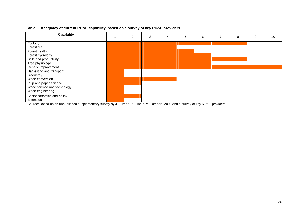| <b>Capability</b>           | $\overline{2}$ | 3 | 4 | 5 | 6 | 8 | 9 | 10 |
|-----------------------------|----------------|---|---|---|---|---|---|----|
| Ecology                     |                |   |   |   |   |   |   |    |
| Forest fire                 |                |   |   |   |   |   |   |    |
| Forest health               |                |   |   |   |   |   |   |    |
| Forest hydrology            |                |   |   |   |   |   |   |    |
| Soils and productivity      |                |   |   |   |   |   |   |    |
| Tree physiology             |                |   |   |   |   |   |   |    |
| Genetic improvement         |                |   |   |   |   |   |   |    |
| Harvesting and transport    |                |   |   |   |   |   |   |    |
| Bioenergy                   |                |   |   |   |   |   |   |    |
| Wood conversion             |                |   |   |   |   |   |   |    |
| Pulp and paper science      |                |   |   |   |   |   |   |    |
| Wood science and technology |                |   |   |   |   |   |   |    |
| Wood engineering            |                |   |   |   |   |   |   |    |
| Socioeconomics and policy   |                |   |   |   |   |   |   |    |
| Extension                   |                |   |   |   |   |   |   |    |

# **Table 6: Adequacy of current RD&E capability, based on a survey of key RD&E providers**

Source: Based on an unpublished supplementary survey by J. Turner, D. Flinn & M. Lambert, 2009 and a survey of key RD&E providers.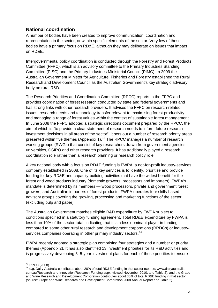# <span id="page-30-0"></span>**National coordination**

A number of bodies have been created to improve communication, coordination and representation in the sector, or within specific elements of the sector. Very few of these bodies have a primary focus on RD&E, although they may deliberate on issues that impact on RD&E.

Intergovernmental policy coordination is conducted through the Forestry and Forest Products Committee (FFPC), which is an advisory committee to the Primary Industries Standing Committee (PISC) and the Primary Industries Ministerial Council (PIMC). In 2009 the Australian Government Minister for Agriculture, Fisheries and Forestry established the Rural Research and Development Council as the Australian Government's key strategic advisory body on rural R&D.

The Research Priorities and Coordination Committee (RPCC) reports to the FFPC and provides coordination of forest research conducted by state and federal governments and has strong links with other research providers. It advises the FFPC on research-related issues, research needs and technology transfer relevant to maximising forest productivity and managing a range of forest values within the context of sustainable forest management. In June 2008 the FFPC adopted a strategic directions document prepared by the RPCC, the aim of which is "to provide a clear statement of research needs to inform future research investment decisions in all areas of the sector"; it sets out a number of research priority areas presented within five themes (Appendix 1).<sup>[43](#page-30-0)</sup> The RPCC manages a number of research working groups (RWGs) that consist of key researchers drawn from government agencies, universities, CSIRO and other research providers. It has traditionally played a research coordination role rather than a research planning or research policy role.

A key national body with a focus on RD&E funding is FWPA, a not-for-profit industry-services company established in 2008. One of its key services is to identify, prioritise and provide funding for key RD&E and capacity-building activities that have the widest benefit for the forest and wood products industry (domestic growers, processors and importers). FWPA's mandate is determined by its members — wood processors, private and government forest growers, and Australian importers of forest products. FWPA operates four skills-based advisory groups covering the growing, processing and marketing functions of the sector (excluding pulp and paper).

The Australian Government matches eligible R&D expenditure by FWPA subject to conditions specified in a statutory funding agreement. Total RD&E expenditure by FWPA is less than 10% of the sector total, indicating that it is a less dominant player in funding compared to some other rural research and development corporations (RRDCs) or industry-services companies operating in other primary industry sectors.<sup>[44](#page-30-0)</sup>

FWPA recently adopted a strategic plan comprising four strategies and a number or priority themes (Appendix 2). It has also identified 13 investment priorities for its R&D activities and is progressively developing 3–5-year investment plans for each of these priorities to ensure

 $43$  RPCC (2008).

<sup>44</sup> e.g. Dairy Australia contributes about 20% of total RD&E funding in that sector (source: www.dairyaustralia. [com.au/Research-and-Innovation/Research-Funding.aspx](http://www.dairyaustralia.com.au/Research-and-Innovation/Research-Funding.aspx), viewed November 2010, and Table 2), and the Grape and Wine Research and Development Corporation contributes about 35% of total RD&E funding in that sector (source: Grape and Wine Research and Development Corporation 2008 Annual Report and Table 2).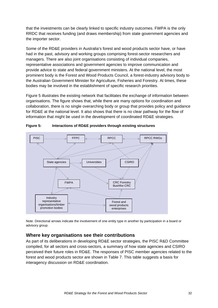that the investments can be clearly linked to specific industry outcomes. FWPA is the only RRDC that receives funding (and draws membership) from state government agencies and the importer sector.

Some of the RD&E providers in Australia's forest and wood products sector have, or have had in the past, advisory and working groups comprising forest-sector researchers and managers. There are also joint organisations consisting of individual companies, representative associations and government agencies to improve communication and provide advice to state and federal government ministers. At the national level, the most prominent body is the Forest and Wood Products Council, a forest-industry advisory body to the Australian Government Minister for Agriculture, Fisheries and Forestry. At times, these bodies may be involved in the establishment of specific research priorities.

Figure 5 illustrates the existing network that facilitates the exchange of information between organisations. The figure shows that, while there are many options for coordination and collaboration, there is no single overarching body or group that provides policy and guidance for RD&E at the national level. It also shows that there is no clear pathway for the flow of information that might be used in the development of coordinated RD&E strategies.



**Figure 5: Interactions of RD&E providers through existing structures** 

Note: Directional arrows indicate the involvement of one entity type in another by participation in a board or advisory group.

# **Where key organisations see their contributions**

As part of its deliberations in developing RD&E sector strategies, the PISC R&D Committee compiled, for all sectors and cross-sectors, a summary of how state agencies and CSIRO perceived their future roles in RD&E. The responses of PISC member agencies related to the forest and wood products sector are shown in Table 7. This table suggests a basis for interagency discussion on RD&E coordination.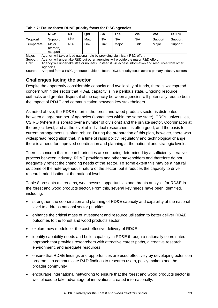|                  | <b>NSW</b>                    | <b>NT</b> | Qld   | <b>SA</b> | $TaS$ . | Vic. | WA      | <b>CSIRO</b> |
|------------------|-------------------------------|-----------|-------|-----------|---------|------|---------|--------------|
| <b>Tropical</b>  | Support                       | Link      | Maior | N/A       | N/A     | N/A  | Support | Support      |
| <b>Temperate</b> | Maior<br>(carbon)<br>/support | N/A       | Link  | Link      | Maior   | Link | Maior   | Support      |

**Table 7: Future forest RD&E priority focus for PISC agencies** 

Major: Agency will take a lead national role by providing significant R&D effort.

Support: Agency will undertake R&D but other agencies will provide the major R&D effort.

Link: Agency will undertake little or no R&D. Instead it will access information and resources from other agencies

Source: Adapted from a PISC-generated table on future RD&E priority focus across primary industry sectors.

# **Challenges facing the sector**

Despite the apparently considerable capacity and availability of funds, there is widespread concern within the sector that RD&E capacity is in a perilous state. Ongoing resource cutbacks and greater dispersal of the capacity between agencies will potentially reduce both the impact of RD&E and communication between key stakeholders.

As noted above, the RD&E effort in the forest and wood products sector is distributed between a large number of agencies (sometimes within the same state), CRCs, universities, CSIRO (where it is spread over a number of divisions) and the private sector. Coordination at the project level, and at the level of individual researchers, is often good, and the basis for current arrangements is often robust. During the preparation of this plan, however, there was widespread recognition that, in a time of rapid policy, regulatory and technological change, there is a need for improved coordination and planning at the national and strategic levels.

There is concern that research priorities are not being determined by a sufficiently iterative process between industry, RD&E providers and other stakeholders and therefore do not adequately reflect the changing needs of the sector. To some extent this may be a natural outcome of the heterogeneous nature of the sector, but it reduces the capacity to drive research prioritisation at the national level.

Table 8 presents a strengths, weaknesses, opportunities and threats analysis for RD&E in the forest and wood products sector. From this, several key needs have been identified, including:

- strengthen the coordination and planning of RD&E capacity and capability at the national level to address national sector priorities
- enhance the critical mass of investment and resource utilisation to better deliver RD&E outcomes to the forest and wood products sector
- explore new models for the cost-effective delivery of RD&E
- identify capability needs and build capability in RD&E through a nationally coordinated approach that provides researchers with attractive career paths, a creative research environment, and adequate resources
- ensure that RD&E findings and opportunities are used effectively by developing extension programs to communicate R&D findings to research users, policy makers and the broader community
- encourage international networking to ensure that the forest and wood products sector is well placed to take advantage of innovations created internationally.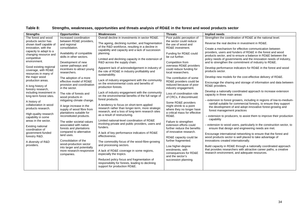| <b>Strengths</b>                                | <b>Opportunities</b>                              | Weaknesses                                                                                           | <b>Threats</b>                                     | Implied needs                                                                                                              |
|-------------------------------------------------|---------------------------------------------------|------------------------------------------------------------------------------------------------------|----------------------------------------------------|----------------------------------------------------------------------------------------------------------------------------|
| The forest and wood                             | Increased coordination                            | Overall decline in investments in sector RD&E.                                                       | Poor public perception of                          | Strengthen the coordination of RD&E at the national level.                                                                 |
| products sector has                             | between RD&E providers,                           | The ageing, declining number, and fragmentation                                                      | the sector could reduce                            | Reverse the real decline in investment in RD&E.                                                                            |
| shown itself capable of                         | and regional                                      | of the R&D workforce, resulting in a decline in                                                      | the use of wood and                                |                                                                                                                            |
| innovation, with the                            | consolidation.                                    | capability and capacity and a lack of succession                                                     | RD&E investment.                                   | Create a mechanism for effective communication between                                                                     |
| capacity to adapt to a<br>changing resource and | Availability of compatible                        | planning.                                                                                            | Funding for RD&E could                             | providers, users and funders of RD&E in the forest and wood                                                                |
| competitive                                     | skills in other sectors.                          |                                                                                                      | be cut further.                                    | products sector, and to ensure a balance in RD&E between the                                                               |
| environment.                                    | Development of new                                | Limited and declining capacity in the extension of<br>R&D across the supply chain.                   | Competition from                                   | policy needs of governments and the innovation needs of industry,<br>and to strengthen the commitment of industry to RD&E. |
|                                                 | career pathways and                               |                                                                                                      | overseas RD&E providers                            |                                                                                                                            |
| Good existing regional                          | incentives to attract young                       | Apparent lack of acknowledgement in industry of                                                      | could reduce funding for                           | Develop performance indicators for RD&E in the forest and wood                                                             |
| coverage, with RD&E<br>resources in many of     | researchers.                                      | the role of RD&E in industry profitability and                                                       | local researchers.                                 | products sector.                                                                                                           |
| the major wood                                  |                                                   | sustainability.                                                                                      |                                                    | Develop new models for the cost-effective delivery of RD&E.                                                                |
| production areas.                               | The adoption of a more<br>effective model of RD&E | Lack of industry engagement with the community                                                       | The contribution of some                           |                                                                                                                            |
|                                                 | provision and coordination                        | on the environmental costs and benefits of                                                           | RD&E providers could be<br>reduced because of poor | Encourage the sharing and storage of information and data between                                                          |
| A long history of                               | in the sector.                                    | production forests.                                                                                  | industry engagement.                               | RD&E providers.                                                                                                            |
| forestry research,<br>including investment in   |                                                   | Lack of industry engagement with the community                                                       |                                                    | Develop a nationally coordinated approach to increase extension                                                            |
| long-term forest sites.                         | The role of forests and                           | on the environmental benefits of the full range of                                                   | Loss of coordination role                          | capacity in three main areas:                                                                                              |
|                                                 | wood products in                                  | forest products.                                                                                     | of CRCs, if discontinued.                          | - extension to forest growers, including in regions of low-to-medium-                                                      |
| A history of                                    | mitigating climate change.                        |                                                                                                      | Some RD&E providers                                | rainfall suitable for commercial forestry, to ensure they support                                                          |
| collaboration in wood                           | A large increase in the                           | A tendency to focus on short-term applied                                                            | might shrink to a point                            | the development of and adopt innovative forest-growing and                                                                 |
| products research.                              | supply of wood fibre from                         | research rather than longer-term, more strategic<br>research, and a loss of long-term research sites | where they no longer have                          | forest management practices                                                                                                |
| High-quality research                           | plantations suitable for                          | as a result of restructuring.                                                                        | a critical mass for effective                      |                                                                                                                            |
| capability in some                              | reconstituted products.                           |                                                                                                      | RD&E.                                              | - extension to producers, to assist them to improve their production<br>capability                                         |
| areas in the sector.                            | The wider societal values                         | Limited national-level coordination of RD&E                                                          | Failure to strengthen                              |                                                                                                                            |
| <b>Existing national</b>                        | associated with native                            | involving private and public providers, users and                                                    | extension efforts could                            | - extension to wood users, particularly in the construction sector, to                                                     |
| coordination of                                 | forests and plantations                           | funders.                                                                                             | further reduce the benefits                        | ensure that design and engineering needs are met.                                                                          |
| government-funded                               | compared to alternative                           | A lack of key performance indicators of RD&E                                                         | of innovative research.                            | Encourage international networking to ensure that the forest and                                                           |
| forestry R&D.                                   | land uses.                                        | effectiveness.                                                                                       | RD&E capacity could be                             | wood products sector is well placed to take advantage of                                                                   |
| A diversity of R&D                              | Consolidation of the                              | The commodity focus of the wood-fibre-growing                                                        | further fragmented.                                | innovations created internationally.                                                                                       |
| providers.                                      | wood-production sector                            | and processing sectors.                                                                              |                                                    | Build capacity in RD&E through a nationally coordinated approach                                                           |
|                                                 | into larger and potentially                       |                                                                                                      | Low higher-degree<br>enrolments, with              | that provides researchers with attractive career paths, a creative                                                         |
|                                                 | more research-responsive                          | A lack of RD&E coverage in some regions,                                                             | consequences for RD&E                              | research environment, and adequate resources.                                                                              |
|                                                 | companies.                                        | especially the tropics.                                                                              | and the sector's                                   |                                                                                                                            |
|                                                 |                                                   | Reduced policy focus and fragmentation of                                                            | succession planning.                               |                                                                                                                            |
|                                                 |                                                   | responsibility for forests, leading to declining                                                     |                                                    |                                                                                                                            |
|                                                 |                                                   | support for production RD&E.                                                                         |                                                    |                                                                                                                            |
|                                                 |                                                   |                                                                                                      |                                                    |                                                                                                                            |

# **Table 8: Strengths, weaknesses, opportunities and threats analysis of RD&E in the forest and wood products sector**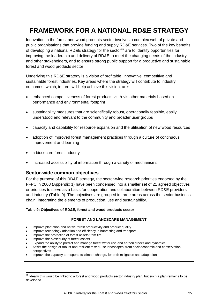# <span id="page-34-0"></span>**FRAMEWORK FOR A NATIONAL RD&E STRATEGY**

Innovation in the forest and wood products sector involves a complex web of private and public organisations that provide funding and supply RD&E services. Two of the key benefits of developing a national RD&E strategy for the sector<sup>[45](#page-34-0)</sup> are to identify opportunities for improving the leadership and delivery of RD&E to meet the changing needs of the industry and other stakeholders, and to ensure strong public support for a productive and sustainable forest and wood products sector.

Underlying this RD&E strategy is a vision of profitable, innovative, competitive and sustainable forest industries. Key areas where the strategy will contribute to industry outcomes, which, in turn, will help achieve this vision, are:

- enhanced competitiveness of forest products vis-à-vis other materials based on performance and environmental footprint
- sustainability measures that are scientifically robust, operationally feasible, easily understood and relevant to the community and broader user groups
- capacity and capability for resource expansion and the utilisation of new wood resources
- adoption of improved forest management practices through a culture of continuous improvement and learning
- a biosecure forest industry
- increased accessibility of information through a variety of mechanisms.

# **Sector-wide common objectives**

For the purpose of this RD&E strategy, the sector-wide research priorities endorsed by the FFPC in 2008 (Appendix 1) have been condensed into a smaller set of 21 agreed objectives or priorities to serve as a basis for cooperation and collaboration between RD&E providers and industry (Table 9). The objectives are grouped in three areas across the sector business chain, integrating the elements of production, use and sustainability.

### **Table 9: Objectives of RD&E, forest and wood products sector**

### **FOREST AND LANDSCAPE MANAGEMENT**

- Improve plantation and native forest productivity and product quality
- Improve technology adoption and efficiency in harvesting and transport
- Improve the protection of forest assets from fire
- Improve the biosecurity of forest assets

- Expand the ability to predict and manage forest water use and carbon stocks and dynamics
- Assist the design of robust and resilient mixed-use landscapes, from socioeconomic and conservation perspectives
- Improve the capacity to respond to climate change, for both mitigation and adaptation

 $45$  Ideally this would be linked to a forest and wood products sector industry plan, but such a plan remains to be developed.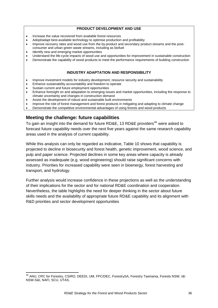#### **PRODUCT DEVELOPMENT AND USE**

- <span id="page-35-0"></span>• Increase the value recovered from available forest resources
- Adopt/adapt best-available technology to optimise production and profitability
- Improve recovery rates and wood use from the by-product and secondary product streams and the postconsumer and urban green waste streams, including as biofuel
- Identify new and emerging market opportunities
- Understand the life-cycle impacts of wood use and opportunities for improvement in sustainable construction
- Demonstrate the capability of wood products to meet the performance requirements of building construction

#### **INDUSTRY ADAPTATION AND RESPONSIBILITY**

- Improve investment models for industry development, resource security and sustainability
- Enhance sustainability accountability and freedom to operate
- Sustain current and future employment opportunities
- Enhance foresight on and adaptation to emerging issues and market opportunities, including the response to climate uncertainty and changes in construction demand
- Assist the development of robust and sustainable built environments
- Improve the role of forest management and forest products in mitigating and adapting to climate change
- Demonstrate the competitive environmental advantages of using forests and wood products

# **Meeting the challenge: future capabilities**

To gain an insight into the demand for future RD&E, 13 RD&E providers<sup>[46](#page-35-0)</sup> were asked to forecast future capability needs over the next five years against the same research capability areas used in the analysis of current capability.

While this analysis can only be regarded as indicative, Table 10 shows that capability is projected to decline in biosecurity and forest health, genetic improvement, wood science, and pulp and paper science. Projected declines in some key areas where capacity is already assessed as inadequate (e.g. wood engineering) should raise significant concerns with industry. Priorities for increased capability were seen in bioenergy, forest harvesting and transport, and hydrology.

Further analysis would increase confidence in these projections as well as the understanding of their implications for the sector and for national RD&E coordination and cooperation. Nevertheless, the table highlights the need for deeper thinking in the sector about future skills needs and the availability of appropriate future RD&E capability and its alignment with R&D priorities and sector development opportunities

 <sup>46</sup> ANU, CRC for Forestry, CSIRO, DEEDI, UM, FPC/DEC, ForestrySA, Forestry Tasmania, Forests NSW, I&I NSW-S&I, NAFI, SCU, UTAS.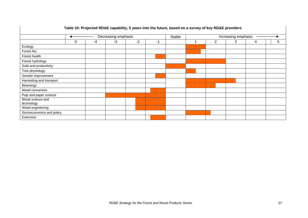| Table 10: Projected RD&E capability, 5 years into the future, based on a survey of key RD&E providers |                     |    |    |      |        |                     |  |   |   |   |   |
|-------------------------------------------------------------------------------------------------------|---------------------|----|----|------|--------|---------------------|--|---|---|---|---|
|                                                                                                       | Decreasing emphasis |    |    |      | Stable | Increasing emphasis |  |   |   |   |   |
|                                                                                                       | $-5$                | -4 | -3 | $-2$ | -1     |                     |  | 2 | 3 | 4 | 5 |
| Ecology                                                                                               |                     |    |    |      |        |                     |  |   |   |   |   |
| Forest fire                                                                                           |                     |    |    |      |        |                     |  |   |   |   |   |
| Forest health                                                                                         |                     |    |    |      |        |                     |  |   |   |   |   |
| Forest hydrology                                                                                      |                     |    |    |      |        |                     |  |   |   |   |   |
| Soils and productivity                                                                                |                     |    |    |      |        |                     |  |   |   |   |   |
| Tree physiology                                                                                       |                     |    |    |      |        |                     |  |   |   |   |   |
| Genetic improvement                                                                                   |                     |    |    |      |        |                     |  |   |   |   |   |
| Harvesting and transport                                                                              |                     |    |    |      |        |                     |  |   |   |   |   |
| Bioenergy                                                                                             |                     |    |    |      |        |                     |  |   |   |   |   |
| Wood conversion                                                                                       |                     |    |    |      |        |                     |  |   |   |   |   |
| Pulp and paper science                                                                                |                     |    |    |      |        |                     |  |   |   |   |   |
| Wood science and<br>technology                                                                        |                     |    |    |      |        |                     |  |   |   |   |   |
| Wood engineering                                                                                      |                     |    |    |      |        |                     |  |   |   |   |   |
| Socioeconomics and policy                                                                             |                     |    |    |      |        |                     |  |   |   |   |   |
| Extension                                                                                             |                     |    |    |      |        |                     |  |   |   |   |   |

# **Table 10: Projected RD&E capability, 5 years into the future, based on a survey of key RD&E providers**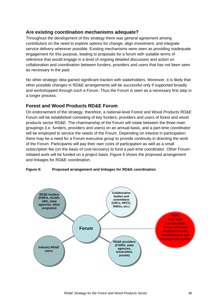# **Are existing coordination mechanisms adequate?**

Throughout the development of this strategy there was general agreement among contributors on the need to explore options for change; align investment; and integrate service delivery wherever possible. Existing mechanisms were seen as providing inadequate engagement for this purpose, leading to proposals for a forum with suitable terms of reference that would engage in a level of ongoing detailed discussion and action on collaboration and coordination between funders, providers and users that has not been seen as necessary in the past.

No other strategic idea gained significant traction with stakeholders. Moreover, it is likely that other possible changes in RD&E arrangements will be successful only if supported broadly and workshopped through such a Forum. Thus the Forum is seen as a necessary first step in a longer process.

# **Forest and Wood Products RD&E Forum**

On endorsement of the strategy, therefore, a national-level Forest and Wood Products RD&E Forum will be established consisting of key funders, providers and users of forest and wood products sector RD&E. The chairmanship of the Forum will rotate between the three main groupings (i.e. funders, providers and users) on an annual basis, and a part-time coordinator will be employed to service the needs of the Forum. Depending on interest in participation there may be a need for a Forum executive group to provide continuity in directing the work of the Forum. Participants will pay their own costs of participation as well as a small subscription fee (on the basis of cost-recovery) to fund a part-time coordinator. Other Foruminitiated work will be funded on a project basis. Figure 6 shows the proposed arrangement and linkages for RD&E coordination.

#### **Figure 6: Proposed arrangement and linkages for RD&E coordination**

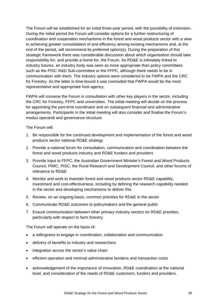The Forum will be established for an initial three-year period, with the possibility of extension. During the initial period the Forum will consider options for a further restructuring of coordination and cooperation mechanisms in the forest and wood products sector with a view to achieving greater consolidation of and efficiency among existing mechanisms *a*nd, at the end of the period, will recommend its preferred option(s). During the preparation of this strategic framework there was considerable discussion about which organisation should take responsibility for, and provide a home for, the Forum. As RD&E is intimately linked to industry futures, an industry body was seen as more appropriate than policy committees such as the PISC R&D Sub-committee or the FFPC, although there needs to be in communication with them. The industry options were considered to be FWPA and the CRC for Forestry. As the latter is time-bound it was concluded that FWPA would be the most representative and appropriate host agency.

FWPA will convene the Forum in consultation with other key players in the sector, including the CRC for Forestry, FFPC and universities. The initial meeting will decide on the process for appointing the part-time coordinator and on subsequent financial and administrative arrangements. Participants in the initial meeting will also consider and finalise the Forum's modus operandi and governance structure.

The Forum will:

- 1. Be responsible for the continued development and implementation of the forest and wood products sector national RD&E strategy
- 2. Provide a national forum for consultation, communication and coordination between the forest and wood products industry and RD&E funders and providers
- 3. Provide input to FFPC, the Australian Government Minister's Forest and Wood Products Council, PIMC, PISC, the Rural Research and Development Council, and other forums of relevance to RD&E
- 4. Monitor and work to maintain forest and wood products sector RD&E capability, investment and cost-effectiveness, including by defining the research capability needed in the sector and developing mechanisms to deliver this
- 5. Review, on an ongoing basis, common priorities for RD&E in the sector
- 6. Communicate RD&E outcomes to policymakers and the general public
- 7. Ensure communication between other primary industry sectors on RD&E priorities, particularly with respect to farm forestry.

The Forum will operate on the basis of:

- a willingness to engage in coordination, collaboration and communication
- delivery of benefits to industry and researchers
- integration across the sector's value chain
- efficient operation and minimal administrative burdens and transaction costs
- acknowledgement of the importance of innovation, RD&E coordination at the national level, and consideration of the needs of RD&E customers, funders and providers.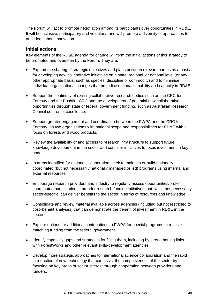The Forum will act to promote negotiation among its participants over opportunities in RD&E. It will be inclusive, participatory and voluntary, and will promote a diversity of approaches to and ideas about innovation.

# **Initial actions**

Key elements of the RD&E agenda for change will form the initial actions of this strategy to be promoted and overseen by the Forum. They are:

- Expand the sharing of strategic objectives and plans between relevant parties as a basis for developing new collaborative initiatives on a state, regional, or national level (or any other appropriate basis, such as species, discipline or commodity) and to minimise individual organisational changes that prejudice national capability and capacity in RD&E.
- Support the continuity of existing collaborative research bodies such as the CRC for Forestry and the Bushfire CRC and the development of potential new collaborative opportunities through state or federal government funding, such as Australian Research Council centres of excellence.
- Support greater engagement and coordination between the FWPA and the CRC for Forestry, as two organisations with national scope and responsibilities for RD&E with a focus on forests and wood products.
- Review the availability of and access to research infrastructure to support future knowledge development in the sector and consider initiatives to focus investment in key nodes.
- In areas identified for national collaboration, seek to maintain or build nationally coordinated (but not necessarily nationally managed or led) programs using internal and external resources.
- Encourage research providers and industry to regularly assess opportunities/broker coordinated participation in broader research funding initiatives that, while not necessarily sector-specific, can deliver benefits to the sector in terms of resources and knowledge.
- Consolidate and review material available across agencies (including but not restricted to cost–benefit analyses) that can demonstrate the benefit of investment in RD&E in the sector.
- Explore options for additional contributions to FWPA for special programs to receive matching funding from the federal government.
- Identify capability gaps and strategies for filling them, including by strengthening links with ForestWorks and other relevant skills-development agencies.
- Develop more strategic approaches to international science collaboration and the rapid introduction of new technology that can assist the competiveness of the sector by focusing on key areas of sector interest through cooperation between providers and funders.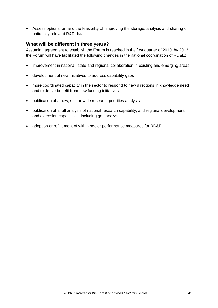• Assess options for, and the feasibility of, improving the storage, analysis and sharing of nationally relevant R&D data.

# **What will be different in three years?**

Assuming agreement to establish the Forum is reached in the first quarter of 2010, by 2013 the Forum will have facilitated the following changes in the national coordination of RD&E:

- improvement in national, state and regional collaboration in existing and emerging areas
- development of new initiatives to address capability gaps
- more coordinated capacity in the sector to respond to new directions in knowledge need and to derive benefit from new funding initiatives
- publication of a new, sector-wide research priorities analysis
- publication of a full analysis of national research capability, and regional development and extension capabilities, including gap analyses
- adoption or refinement of within-sector performance measures for RD&E.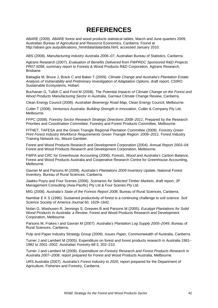# **REFERENCES**

ABARE (2009). ABARE forest and wood products statistical tables, March and June quarters 2009, Australian Bureau of Agricultural and Resource Economics, Canberra. Found at [http://abare.gov.au/publications\\_html/data/data/data.html,](http://abare.gov.au/publications_html/data/data/data.html) accessed January 2010.

ABS (2008). *Manufacturing industry Australia 2006–07*, Australian Bureau of Statistics, Canberra.

Agtrans Research (2007). *Evaluation of Benefits Delivered from FWPRDC Sponsored R&D Projects PR07.5058*, summary report to Forests & Wood Products R&D Corporation, Agtrans Research, Brisbane.

Battaglia M, Bruce J, Brack C and Baker T (2009). *Climate Change and Australia's Plantation Estate: Analysis of Vulnerability and Preliminary Investigation of Adaptation Options*, draft report, CSIRO Sustainable Ecosystems, Hobart.

Buchanan G, Tulloh C and Ford M (2008). *The Potential Impacts of Climate Change on the Forest and Wood Products Manufacturing Sector in Australia*, Garnaut Climate Change Review, Canberra.

Clean Energy Council (2008). *Australian Bioenergy Road Map*, Clean Energy Council, Melbourne.

Cutler T (2008). *Venturous Australia: Building Strength in Innovation*, Cutler & Company Pty Ltd, Melbourne.

FFPC (2008). *Forestry Sector Research Strategic Directions 2008–2011*, Prepared by the Research Priorities and Coordination Committee, Forestry and Forest Products Committee, Melbourne.

FITNET, TAFESA and the Green Triangle Regional Plantation Committee (2008). *Forestry Green Print Forest Industry Workforce Requirements Green Triangle Region: 2006–2011.* Forest Industry Training Network Inc, Mount Gambier.

Forest and Wood Products Research and Development Corporation (2004). *Annual Report 2003–04.*  Forest and Wood Products Research and Development Corporation, Melbourne.

FWPA and CRC for Greenhouse Accounting (2006). *Forests, Wood and Australia's Carbon Balance,* Forest and Wood Products Australia and Cooperative Research Centre for Greenhouse Accounting, Melbourne.

Gavran M and Parsons M (2009). *Australia's Plantations 2009 Inventory Update*, National Forest Inventory, Bureau of Rural Sciences, Canberra.

Jaakko Poyry and Four Scenes (2006). *Scenarios for Selected Timber Markets*, draft report, JP Management Consulting (Asia-Pacific) Pty Ltd & Four Scenes Pty Ltd.

MIG (2008). *Australia's State of the Forests Report 2008*, Bureau of Rural Sciences, Canberra.

Nambiar E K S (1996). Sustained productivity of forest is a continuing challenge to soil science. *Soil Science Society of America Journal* 60, 1629–1642.

Nolan G, Washusen R, Jennings S, Greaves B and Parsons M (2005). *Eucalypt Plantations for Solid Wood Products In Australia: a Review*, Forest and Wood Products Research and Development Corporation, Melbourne.

Parsons M, Frakes I and Gavran M (2007). *Australia's Plantation Log Supply 2005–2049*, Bureau of Rural Sciences, Canberra.

Pulp and Paper Industry Strategy Group (2009). *Issues Paper*, Commonwealth of Australia, Canberra.

Turner J and Lambert M (2005). Expenditure on forest and forest products research in Australia 1981– 1982 to 2001–2002. *Australian Forestry* 68:3, 202–210.

Turner J and Lambert M (2009). *Expenditure on Forestry Research and Forest Products Research in Australia 2007–2008*, report prepared for Forest and Wood Products Australia, Melbourne.

URS Australia (2007). *Australia's Forest Industry to 2020*, report prepared for the Department of Agriculture, Fisheries and Forestry, Canberra.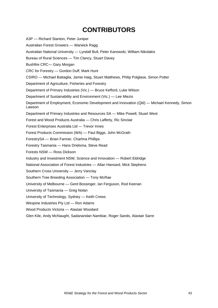# **CONTRIBUTORS**

A3P — Richard Stanton, Peter Juniper Australian Forest Growers — Warwick Ragg Australian National University — Lyndall Bull, Peter Kanowski, William Nikolakis Bureau of Rural Sciences — Tim Clancy, Stuart Davey Bushfire CRC— Gary Morgan CRC for Forestry — Gordon Duff, Mark Hunt CSIRO — Michael Battaglia, Jamie Haig, Stuart Matthews, Philip Polglase, Simon Potter Department of Agriculture, Fisheries and Forestry Department of Primary Industries (Vic.) — Bruce Kefford, Luke Wilson Department of Sustainability and Environment (Vic.) — Lee Miezis Department of Employment, Economic Development and Innovation (Qld) — Michael Kennedy, Simon Lawson Department of Primary Industries and Resources SA — Mike Powell, Stuart West Forest and Wood Products Australia — Chris Lafferty, Ric Sinclair Forest Enterprises Australia Ltd — Trevor Innes Forest Products Commission (WA) — Paul Biggs, John McGrath ForestrySA — Brian Farmer, Charlma Phillips Forestry Tasmania — Hans Drielsma, Steve Read Forests NSW — Ross Dickson Industry and Investment NSW, Science and Innovation — Robert Eldridge National Association of Forest Industries — Allan Hansard, Mick Stephens Southern Cross University — Jerry Vanclay Southern Tree Breeding Association — Tony McRae University of Melbourne — Gerd Bossinger, Ian Ferguson, Rod Keenan University of Tasmania — Greg Nolan University of Technology, Sydney — Keith Crews Wespine Industries Pty Ltd — Ron Adams Wood Products Victoria — Alastair Woodard Glen Kile, Andy McNaught, Sadanandan Nambiar, Roger Sands, Alastair Sarre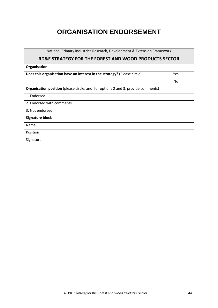# **ORGANISATION ENDORSEMENT**

| National Primary Industries Research, Development & Extension Framework                  |      |  |     |  |  |  |  |
|------------------------------------------------------------------------------------------|------|--|-----|--|--|--|--|
| RD&E STRATEGY FOR THE FOREST AND WOOD PRODUCTS SECTOR                                    |      |  |     |  |  |  |  |
| Organisation                                                                             |      |  |     |  |  |  |  |
| Does this organisation have an interest in the strategy? (Please circle)                 | Yes. |  |     |  |  |  |  |
|                                                                                          |      |  | No. |  |  |  |  |
| <b>Organisation position</b> (please circle, and, for options 2 and 3, provide comments) |      |  |     |  |  |  |  |
| 1. Endorsed                                                                              |      |  |     |  |  |  |  |
| 2. Endorsed with comments                                                                |      |  |     |  |  |  |  |
| 3. Not endorsed                                                                          |      |  |     |  |  |  |  |
| <b>Signature block</b>                                                                   |      |  |     |  |  |  |  |
| Name                                                                                     |      |  |     |  |  |  |  |
| Position                                                                                 |      |  |     |  |  |  |  |
| Signature                                                                                |      |  |     |  |  |  |  |
|                                                                                          |      |  |     |  |  |  |  |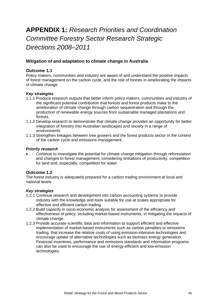# **APPENDIX 1:** *Research Priorities and Coordination Committee Forestry Sector Research Strategic Directions 2008–2011*

# **Mitigation of and adaptation to climate change in Australia**

# **Outcome 1.1**

Policy makers, communities and industry are aware of and understand the positive impacts of forest management on the carbon cycle, and the role of forests in ameliorating the impacts of climate change

### *Key strategies*

- 1.1.1 Produce research outputs that better inform policy makers, communities and industry of the significant potential contribution that forests and forest products make to the amelioration of climate change through carbon sequestration and through the production of renewable energy sources from sustainable managed plantations and forests.
- 1.1.2 Develop research to demonstrate that climate change provides an opportunity for better integration of forestry into Australian landscapes and society in a range of environments
- 1.1.3 Strengthen linkages between tree growers and the forest products sector in the context of the carbon cycle and emissions management.

### *Priority research*

• Continue to investigate the potential for climate change mitigation through reforestation and changes to forest management, considering limitations of productivity, competition for land and, especially, competition for water.

### **Outcome 1.2**

The forest industry is adequately prepared for a carbon trading environment at local and national levels

### *Key strategies*

- 1.2.1 Continue research and development into carbon accounting systems to provide industry with the knowledge and tools suitable for use at scales appropriate for effective and efficient carbon trading.
- 1.2.2 Build capacity in socio-economic analysis for assessment of the efficiency and effectiveness of policy, including market-based instruments, in mitigating the impacts of climate change.
- 1.2.3 Provide accurate scientific data and information to support efficient and effective implementation of market-based instruments such as carbon penalties or emissions trading, that increase the relative costs of using emission-intensive technologies and encourage uptake of alternative technologies such as biomass energy generation. Financial incentives, performance and emissions standards and information programs can also be used to encourage the use of energy-efficient and low-emission technologies.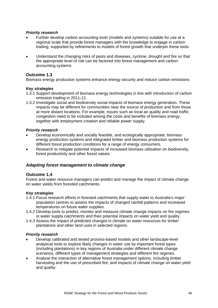### *Priority research*

- Further develop carbon accounting tools (models and systems) suitable for use at a regional scale that provide forest managers with the knowledge to engage in carbon trading, supported by refinements to models of forest growth that underpin these tools
- Understand the changing risks of pests and diseases, cyclone, drought and fire so that the appropriate level of risk can be factored into forest management and carbon accounting systems

### **Outcome 1.3**

Biomass energy production systems enhance energy security and reduce carbon emissions

#### *Key strategies*

- 1.3.1 Support development of biomass energy technologies in line with introduction of carbon emission trading in 2011-12.
- 1.3.2 Investigate social and biodiversity social impacts of biomass energy generation. These impacts may be different for communities near the source of production and from those at more distant locations. For example, issues such as local air quality and road traffic congestion need to be included among the costs and benefits of biomass energy, together with employment creation and reliable power supply.

#### *Priority research*

- Develop economically and socially feasible, and ecologically appropriate, biomass energy production systems and integrated timber and biomass production systems for different forest production conditions for a range of energy consumers.
- Research to mitigate potential impacts of increased biomass utilisation on biodiversity, forest productivity and other forest values.

### *Adapting forest management to climate change*

### **Outcome 1.4**

Forest and water resource managers can predict and manage the impact of climate change on water yields from forested catchments.

#### *Key strategies*

- 1.4.1 Focus research efforts in forested catchments that supply water to Australia's major population centres to assess the impacts of changed rainfall patterns and increased temperatures on future water supplies.
- 1.4.2 Develop tools to predict, monitor and measure climate change impacts on fire regimes in water supply catchments and their potential impacts on water yield and quality.
- 1.4.3 Assess the impact of predicted changes in climate on water resources for timber plantations and other land uses in selected regions.

#### *Priority research*

- Develop calibrated and tested process-based models and other landscape-level analytical tools to explore likely changes in water use by important forest types (including plantations) in key regions of Australia under different climate change scenarios, different types of management strategies and different fire regimes.
- Analyse the interaction of alternative forest management options, including timber harvesting and the use of prescribed fire, and impacts of climate change on water yield and quality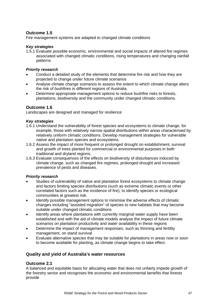# **Outcome 1.5**

Fire management systems are adapted to changed climate conditions

# *Key strategies*

1.5.1 Evaluate possible economic, environmental and social impacts of altered fire regimes associated with changed climatic conditions, rising temperatures and changing rainfall patterns.

# *Priority research*

- Conduct a detailed study of the elements that determine fire risk and how they are projected to change under future climate scenarios
- Analyse climate change scenarios to assess the extent to which climate change alters the risk of bushfires in different regions of Australia.
- Determine appropriate management options to reduce bushfire risks to forests, plantations, biodiversity and the community under changed climatic conditions.

# **Outcome 1.6**

Landscapes are designed and managed for resilience

### *Key strategies*

- 1.6.1 Understand the vulnerability of forest species and ecosystems to climate change, for example, those with relatively narrow spatial distributions within areas characterised by relatively uniform climatic conditions. Develop management strategies for vulnerable native and plantation species and ecosystems.
- 1.6.2 Assess the impact of more frequent or prolonged drought on establishment, survival and growth of trees planted for commercial or environmental purposes in both traditional and dryland regions.
- 1.6.3 Evaluate consequences of the effects on biodiversity of disturbances induced by climate change, such as changed fire regimes, prolonged drought and increased prevalence of pests and diseases.

### *Priority research*

- Studies of vulnerability of native and plantation forest ecosystems to climate change and factors limiting species distributions (such as extreme climatic events or other correlated factors such as the incidence of fire), to identify species or ecological communities at greatest risk.
- Identify possible management options to minimise the adverse effects of climatic changes including "assisted migration" of species to new habitats that may become suitable under changed climatic conditions
- Identify areas where plantations with currently marginal water supply have been established and with the aid of climate models analyse the impact of future climate scenarios on plantation productivity and water availability in these regions
- Determine the impact of management responses, such as thinning and fertility management, on stand survival
- Evaluate alternative species that may be suitable for plantations in areas now or soon to become available for planting, as climate change begins to take effect.

# **Quality and yield of Australia's water resources**

### **Outcome 2.1**

A balanced and equitable basis for allocating water that does not unfairly impede growth of the forestry sector and recognises the economic and environmental benefits that forests provide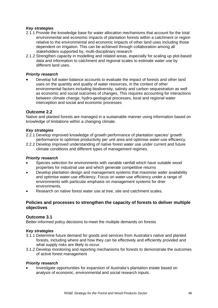# *Key strategies*

- 2.1.1 Provide the knowledge base for water allocation mechanisms that account for the total environmental and economic impacts of plantation forests within a catchment or region relative to the environmental and economic impacts of other land uses including those dependent on irrigation. This can be achieved through collaboration among all stakeholders supported by, multi-disciplinary research
- 2.1.2 Strengthen capacity in modelling and related areas, especially for scaling up plot-based data and information to catchment and regional scales to estimate water use by different land uses.

### *Priority research*

• Develop full water-balance accounts to evaluate the impact of forests and other land uses on the quantity and quality of water resources, in the context of other environmental factors including biodiversity, salinity and carbon sequestration as well as economic and social outcomes of changes, This requires accounting for interactions between climate change, hydro-geological processes, local and regional water interception and social and economic processes

# **Outcome 2.2**

Native and planted forests are managed in a sustainable manner using information based on knowledge of limitations within a changing climate.

### *Key strategies*

- 2.2.1 Develop improved knowledge of growth performance of plantation species' growth performance to optimise productivity per unit area and optimise water-use efficiency.
- 2.2.2 Develop improved understanding of native forest water use under current and future climate conditions and different types of management regimes.

### *Priority research*

- Species selection for environments with variable rainfall which have suitable wood properties for industrial use and which generate competitive returns
- Develop plantation design and management systems that maximise water availability and optimise water-use efficiency. Focus on water-use efficiency under a range of environments with particular emphasis on management systems for drier environments.
- Research on native forest water use at tree, site and catchment scales.

# **Policies and processes to strengthen the capacity of forests to deliver multiple objectives**

### **Outcome 3.1**

Better-informed policy decisions to-meet the multiple demands on forests

### *Key strategies*

- 3.1.1 Determine future demand for goods and services from Australia's native and planted forests, including where and how they can be effectively and efficiently provided and what supply risks are likely to occur.
- 3.1.2 Develop monitoring and reporting mechanisms for forests to demonstrate the outcomes of active forest management

#### *Priority research*

• Investigate opportunities for expansion of Australia's plantation estate based on analysis of economic, environmental and social research inputs.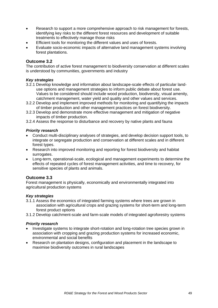- Research to support a more comprehensive approach to risk management for forests, identifying key risks to the different forest resources and development of suitable treatments to effectively manage those risks
- Efficient tools for monitoring the different values and uses of forests.
- Evaluate socio-economic impacts of alternative land management systems involving forest plantations.

### **Outcome 3.2**

The contribution of active forest management to biodiversity conservation at different scales is understood by communities, governments and industry

### *Key strategies*

- 3.2.1 Develop knowledge and information about landscape-scale effects of particular landuse options and management strategies to inform public debate about forest use. Values to be considered should include wood production, biodiversity, visual amenity, catchment management, water yield and quality and other values and services.
- 3.2.2 Develop and implement improved methods for monitoring and quantifying the impacts of timber production and other management practices on forest biodiversity.
- 3.2.3 Develop and demonstrate more effective management and mitigation of negative impacts of timber production.
- 3.2.4 Assess the response to disturbance and recovery by native plants and fauna

#### *Priority research*

- Conduct multi-disciplinary analyses of strategies, and develop decision support tools, to integrate or segregate production and conservation at different scales and in different forest types.
- Research into improved monitoring and reporting for forest biodiversity and habitat surrogates.
- Long-term, operational-scale, ecological and management experiments to determine the effects of repeated cycles of forest management activities, and time to recovery, for sensitive species of plants and animals.

### **Outcome 3.3**

Forest management is physically, economically and environmentally integrated into agricultural production systems

### *Key strategies*

3.1.1 Assess the economics of integrated farming systems where trees are grown in association with agricultural crops and grazing systems for short-term and long-term forest product options

3.1.2 Develop catchment-scale and farm-scale models of integrated agroforestry systems

#### *Priority research*

- Investigate systems to integrate short-rotation and long-rotation tree species grown in association with cropping and grazing production systems for increased economic, environmental and social benefits
- Research on plantation designs, configuration and placement in the landscape to maximise biodiversity outcomes in rural landscapes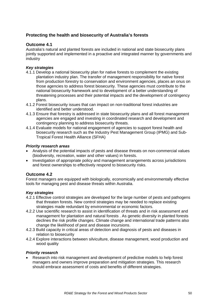# **Protecting the health and biosecurity of Australia's forests**

# **Outcome 4.1**

Australia's natural and planted forests are included in national and state biosecurity plans jointly supported and implemented in a proactive and integrated manner by governments and industry

# *Key strategies*

- 4.1.1 Develop a national biosecurity plan for native forests to complement the existing plantation industry plan. The transfer of management responsibility for native forest from production forestry to conservation and environment agencies, places an onus on those agencies to address forest biosecurity. These agencies must contribute to the national biosecurity framework and to development of a better understanding of threatening processes and their potential impacts and the development of contingency plans.
- 4.1.2 Forest biosecurity issues that can impact on non-traditional forest industries are identified and better understood.
- 4.1.3 Ensure that forestry is addressed in state biosecurity plans and all forest management agencies are engaged and investing in coordinated research and development and contingency planning to address biosecurity threats.
- 4.1.4 Evaluate models for national engagement of agencies to support forest health and biosecurity research such as the Industry Pest Management Group (IPMG) and Sub-Tropical Forest Health Alliance (SFHA)

# *Priority research areas*

- Analysis of the potential impacts of pests and disease threats on non-commercial values (biodiversity, recreation, water and other values) in forests.
- Investigation of appropriate policy and management arrangements across jurisdictions and forest ownerships to effectively respond to biosecurity risks.

# **Outcome 4.2**

Forest managers are equipped with biologically, economically and environmentally effective tools for managing pest and disease threats within Australia.

# *Key strategies*

- 4.2.1 Effective control strategies are developed for the large number of pests and pathogens that threaten forests. New control strategies may be needed to replace existing strategies made redundant by environmental or economic factors.
- 4.2.2 Use scientific research to assist in identification of threats and in risk assessment and management for plantation and natural forests . As genetic diversity in planted forests declines the risk profile changes. Climate change and international trade patterns also change the likelihood of pest and disease incursions.
- 4.2.3 Build capacity in critical areas of detection and diagnosis of pests and diseases in relation to biosecurity
- 4.2.4 Explore interactions between silviculture, disease management, wood production and wood quality

# *Priority research*

• Research into risk management and development of predictive models to help forest managers and owners improve preparation and mitigation strategies. This research should embrace assessment of costs and benefits of different strategies.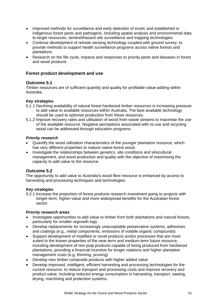- Improved methods for surveillance and early detection of exotic and established or indigenous forest pests and pathogens, including spatial analysis and environmental data to target resources, sentinel/hazard site surveillance and trapping technologies
- Continue development of remote sensing technology coupled with ground survey, to provide methods to support health surveillance programs across native forests and plantations
- Research on the life cycle, impacts and responses to priority pests and diseases in forest and wood products

# **Forest product development and use**

# **Outcome 5.1**

Timber resources are of sufficient quantity and quality for profitable value-adding within Australia.

# *Key strategies*

- 5.1.1 Declining availability of natural forest hardwood timber resources is increasing pressure to add value to available resources within Australia. The best available technology should be used to optimise production from these resources.
- 5.1.2 Improve recovery rates and utilisation of wood from waste streams to maximise the use of the available resource. Negative perceptions associated with re-use and recycling wood can be addressed through education programs.

### *Priority research*

- Quantify the wood utilisation characteristics of the younger plantation resource, which has very different properties to mature native-forest wood.
- Investigate the relationships between genetics, site conditions and silvicultural management, and wood production and quality with the objective of maximising the capacity to add value to the resource.

# **Outcome 5.2**

The opportunity to add value to Australia's wood fibre resource is enhanced by access to harvesting and processing techniques and technologies.

# *Key strategies*

5.2.1 Increase the proportion of forest products research investment going to projects with longer-term, higher-value and more widespread benefits for the Australian forest sector.

### *Priority research areas*

- Investigate opportunities to add value to timber from both plantations and natural forests, particularly for smaller regrowth logs
- Develop replacements for increasingly unacceptable preservative systems, adhesives and coatings (e.g., metal components, emissions of volatile organic compounds)
- Support development of modified or novel products and/or processes that are more suited to the known properties of the near-term and medium-term future resource, including development of non-pulp products capable of being produced from hardwood plantations, providing a financial incentive for longer rotations and higher plantation management costs (e.g. thinning, pruning)
- Develop new timber composite products with higher added value
- Develop improved, intelligent, efficient harvesting and processing technologies for the current resource, to reduce transport and processing costs and improve recovery and product value, including reduced energy consumption in harvesting, transport, sawing, drying, machining and protection systems.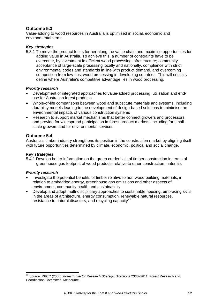# <span id="page-51-0"></span>**Outcome 5.3**

Value-adding to wood resources in Australia is optimised in social, economic and environmental terms

# *Key strategies*

5.3.1 To move the product focus further along the value chain and maximise opportunities for adding value in Australia. To achieve this, a number of constraints have to be overcome, by investment in efficient wood processing infrastructure; community acceptance of large-scale processing locally and nationally, compliance with strict environmental codes and standards in line with product demand, and overcoming competition from low-cost wood processing in developing countries. This will critically define where Australia's competitive advantage lies in wood processing.

# *Priority research*

- Development of integrated approaches to value-added processing, utilisation and enduse for Australian forest products.
- Whole-of-life comparisons between wood and substitute materials and systems, including durability models leading to the development of design-based solutions to minimise the environmental impacts of various construction systems
- Research to support market mechanisms that better connect growers and processors and provide for widespread participation in forest product markets, including for smallscale growers and for environmental services.

# **Outcome 5.4**

Australia's timber industry strengthens its position in the construction market by aligning itself with future opportunities determined by climate, economic, political and social change.

### *Key strategies*

5.4.1 Develop better information on the green credentials of timber construction in terms of greenhouse gas footprint of wood products relative to other construction materials

### *Priority research*

- Investigate the potential benefits of timber relative to non-wood building materials, in relation to embedded energy, greenhouse gas emissions and other aspects of environment, community health and sustainability
- Develop and adopt multi-disciplinary approaches to sustainable housing, embracing skills in the areas of architecture, energy consumption, renewable natural resources, resistance to natural disasters, and recycling capacity<sup>[47](#page-51-0)</sup>

 47 Source: RPCC (2008). *Forestry Sector Research Strategic Directions 2008–2011*, Forest Research and Coordination Committee, Melbourne.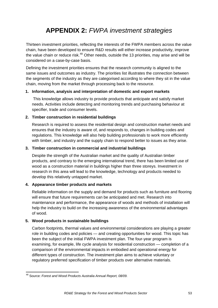# **APPENDIX 2:** *FWPA investment strategies*

<span id="page-52-0"></span>Thirteen investment priorities, reflecting the interests of the FWPA members across the value chain, have been developed to ensure R&D results will either increase productivity, improve the value chain or reduce risk.<sup>[48](#page-52-0)</sup> Other needs, outside the 13 priorities, may arise and will be considered on a case-by-case basis.

Defining the investment priorities ensures that the research community is aligned to the same issues and outcomes as industry. The priorities list illustrates the connection between the segments of the industry as they are categorised according to where they sit in the value chain, moving from the market through processing back to the resource.

### **1. Information, analysis and interpretation of domestic and export markets**

This knowledge allows industry to provide products that anticipate and satisfy market needs. Activities include detecting and monitoring trends and purchasing behaviour at specifier, trade and consumer levels.

#### **2. Timber construction in residential buildings**

Research is required to assess the residential design and construction market needs and ensures that the industry is aware of, and responds to, changes in building codes and regulations. This knowledge will also help building professionals to work more efficiently with timber, and industry and the supply chain to respond better to issues as they arise.

#### **3. Timber construction in commercial and industrial buildings**

Despite the strength of the Australian market and the quality of Australian timber products, and contrary to the emerging international trend, there has been limited use of wood as a construction material in buildings higher than three storeys. Investment in research in this area will lead to the knowledge, technology and products needed to develop this relatively untapped market.

### **4. Appearance timber products and markets**

Reliable information on the supply and demand for products such as furniture and flooring will ensure that future requirements can be anticipated and met. Research into maintenance and performance, the appearance of woods and methods of installation will help the industry to build on the increasing awareness of the environmental advantages of wood.

### **5. Wood products in sustainable buildings**

Carbon footprints, thermal values and environmental considerations are playing a greater role in building codes and policies — and creating opportunities for wood. This topic has been the subject of the initial FWPA investment plan. The four-year program is examining, for example, life cycle analysis for residential construction — completion of a comparison of the environmental impacts in embodied and operational energy for different types of construction. The investment plan aims to achieve voluntary or regulatory preferred specification of timber products over alternative materials.

<sup>&</sup>lt;u> Tanzania de la contrada de la contrada de la contrada de la contrada de la contrada de la contrada de la con</u> 48 Source: *Forest and Wood Products Australia Annual Report, 08/09*.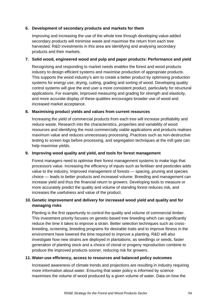### **6. Development of secondary products and markets for them**

Improving and increasing the use of the whole tree through developing value-added secondary products will minimise waste and maximise the return from each tree harvested. R&D investments in this area are identifying and analysing secondary products and their markets.

### **7. Solid wood, engineered wood and pulp and paper products: Performance and yield**

Recognising and responding to market needs enables the forest and wood products industry to design efficient systems and maximise production of appropriate products. This supports the wood industry's aim to create a better product by optimising production systems for energy use, drying, cutting, grading and sorting of wood. Developing quality control systems will give the end user a more consistent product, particularly for structural applications. For example, improved measuring and grading for strength and elasticity, and more accurate display of these qualities encourages broader use of wood and increased market acceptance.

# **8. Maximising product yields and values from current resources**

Increasing the yield of commercial products from each tree will increase profitability and reduce waste. Research into the characteristics, properties and variability of wood resources and identifying the most commercially viable applications and products realises maximum value and reduces unnecessary processing. Practices such as non-destructive testing to screen logs before processing, and segregation techniques at the mill gate can help maximise yields.

# **9. Improving wood quality and yield, and tools for forest management**

Forest managers need to optimise their forest management systems to make logs that processors value. Increasing the efficiency of inputs such as fertiliser and pesticides adds value to the industry. Improved management of forests — spacing, pruning and species choice — leads to better products and increased volume. Breeding and management can increase yield and thus the financial return to growers. Developing tools to measure or more accurately predict the quality and volume of standing forest reduces risk, and increases the usefulness and value of the product.

# **10. Genetic improvement and delivery for increased wood yield and quality and for managing risks**

Planting is the first opportunity to control the quality and volume of commercial timber. This investment priority focuses on genetic-based tree breeding which can significantly reduce the time it takes to improve a strain. Better selection techniques such as crossbreeding, screening, breeding programs for desirable traits and to improve fitness in the environment have lowered the time required to improve a planting. R&D will also investigate how new strains are deployed in plantations, as seedlings or seeds, faster generation of planting stock and a choice of clonal or progeny reproduction combine to produce the improved products sooner, reducing risk for growers.

### **11. Water-use efficiency, access to resources and balanced policy outcomes**

Increased awareness of climate trends and projections are resulting in industry requiring more information about water. Ensuring that water policy is informed by science maximises the volume of wood produced by a given volume of water. Data on how the